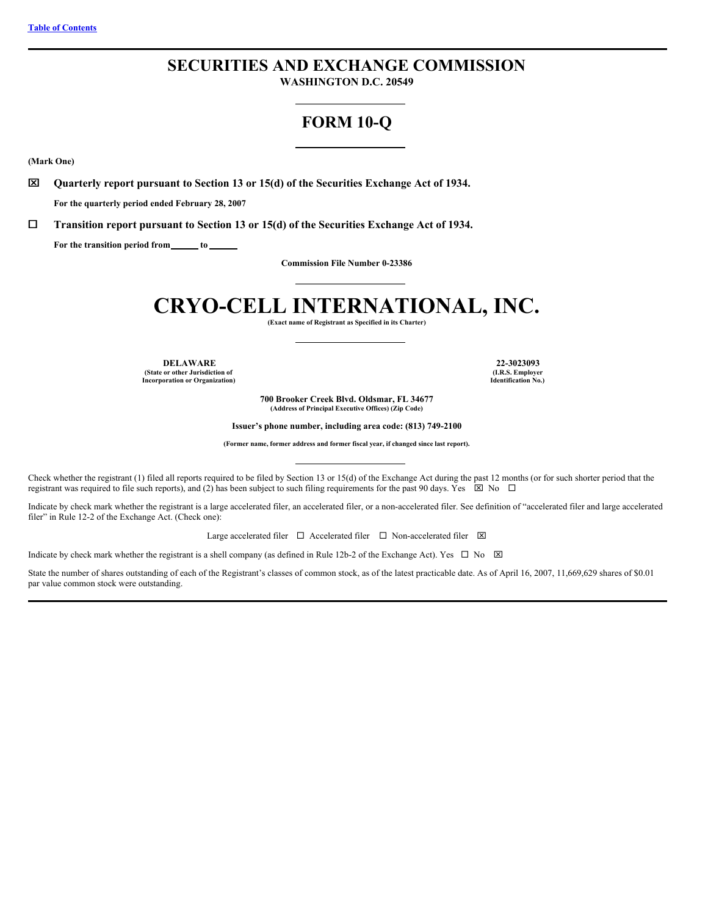## **SECURITIES AND EXCHANGE COMMISSION**

**WASHINGTON D.C. 20549**

## **FORM 10-Q**

**(Mark One)**

x **Quarterly report pursuant to Section 13 or 15(d) of the Securities Exchange Act of 1934.**

**For the quarterly period ended February 28, 2007**

¨ **Transition report pursuant to Section 13 or 15(d) of the Securities Exchange Act of 1934.**

**For the transition period from to**

**Commission File Number 0-23386**

# **CRYO-CELL INTERNATIONAL, INC.**

**(Exact name of Registrant as Specified in its Charter)**

**DELAWARE 22-3023093 (State or other Jurisdiction of Incorporation or Organization)**

**(I.R.S. Employer Identification No.)**

**700 Brooker Creek Blvd. Oldsmar, FL 34677 (Address of Principal Executive Offices) (Zip Code)**

**Issuer's phone number, including area code: (813) 749-2100**

**(Former name, former address and former fiscal year, if changed since last report).**

Check whether the registrant (1) filed all reports required to be filed by Section 13 or 15(d) of the Exchange Act during the past 12 months (or for such shorter period that the registrant was required to file such reports), and (2) has been subject to such filing requirements for the past 90 days. Yes  $\boxtimes$  No  $\Box$ 

Indicate by check mark whether the registrant is a large accelerated filer, an accelerated filer, or a non-accelerated filer. See definition of "accelerated filer and large accelerated filer" in Rule 12-2 of the Exchange Act. (Check one):

Large accelerated filer  $\Box$  Accelerated filer  $\Box$  Non-accelerated filer  $\boxtimes$ 

Indicate by check mark whether the registrant is a shell company (as defined in Rule 12b-2 of the Exchange Act). Yes  $\Box$  No  $\boxtimes$ 

State the number of shares outstanding of each of the Registrant's classes of common stock, as of the latest practicable date. As of April 16, 2007, 11,669,629 shares of \$0.01 par value common stock were outstanding.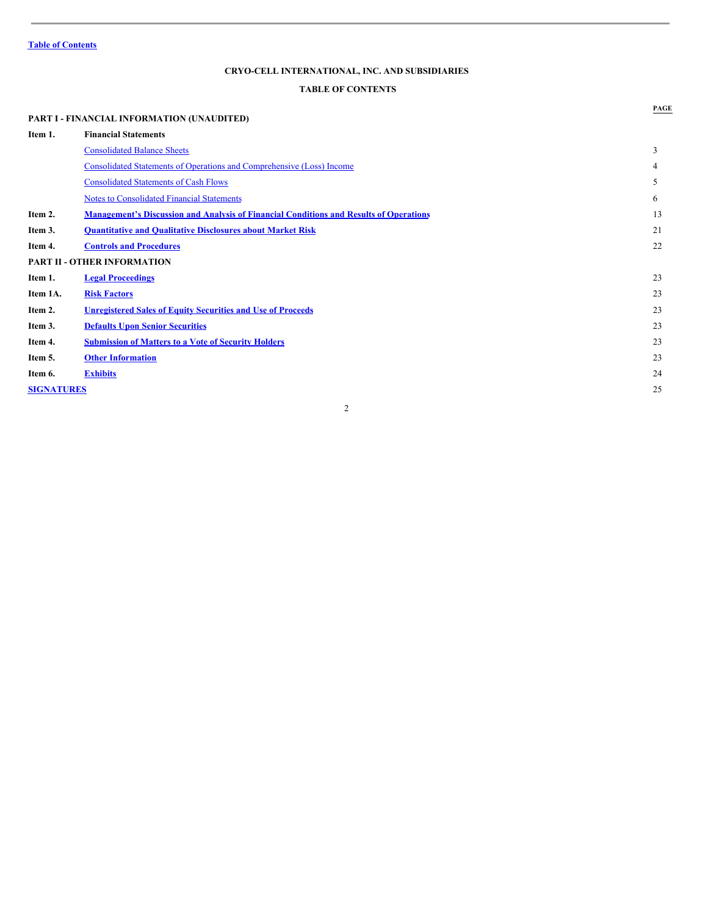## <span id="page-1-0"></span>**TABLE OF CONTENTS**

## **PART I - FINANCIAL INFORMATION (UNAUDITED) Item 1. Financial Statements [Consolidated](#page-2-0) Balance Sheets** 3 Consolidated Statements of Operations and [Comprehensive](#page-3-0) (Loss) Income 4 [Consolidated](#page-4-0) Statements of Cash Flows 5 Notes to [Consolidated](#page-5-0) Financial Statements 6 **Item 2. [Management's](#page-12-0) Discussion and Analysis of Financial Conditions and Results of Operations** 13 **Item 3. [Quantitative](#page-20-0) and Qualitative Disclosures about Market Risk** 21 **Item 4. Controls and [Procedures](#page-21-0)** 22 **PART II - OTHER INFORMATION Item 1. Legal [Proceedings](#page-22-0)** 23 **Item 1A. Risk [Factors](#page-22-1)** 23 **Item 2. [Unregistered](#page-22-2) Sales of Equity Securities and Use of Proceeds** 23 **Item 3. Defaults Upon Senior [Securities](#page-22-3)** 23 **Item 4. [Submission](#page-22-4) of Matters to a Vote of Security Holders** 23 **Item 5. Other [Information](#page-22-5)** 23 **Item 6. [Exhibits](#page-23-0)** 24 **[SIGNATURES](#page-24-0)** 25

2

**PAGE**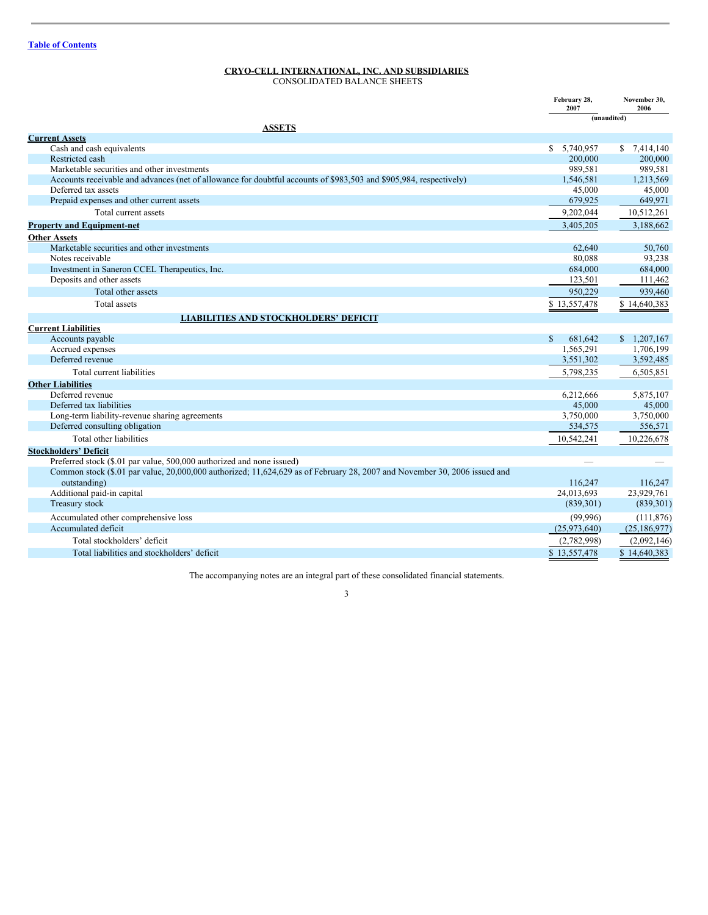<span id="page-2-0"></span>CONSOLIDATED BALANCE SHEETS

|                                                                                                                                           | February 28,<br>2007 | November 30,<br>2006 |
|-------------------------------------------------------------------------------------------------------------------------------------------|----------------------|----------------------|
|                                                                                                                                           | (unaudited)          |                      |
| <b>ASSETS</b>                                                                                                                             |                      |                      |
| <b>Current Assets</b>                                                                                                                     |                      |                      |
| Cash and cash equivalents                                                                                                                 | \$ 5,740,957         | \$ 7,414,140         |
| Restricted cash<br>Marketable securities and other investments                                                                            | 200,000              | 200,000              |
|                                                                                                                                           | 989,581              | 989,581              |
| Accounts receivable and advances (net of allowance for doubtful accounts of \$983,503 and \$905,984, respectively)<br>Deferred tax assets | 1,546,581<br>45,000  | 1,213,569<br>45,000  |
| Prepaid expenses and other current assets                                                                                                 | 679,925              | 649,971              |
|                                                                                                                                           |                      |                      |
| Total current assets                                                                                                                      | 9,202,044            | 10,512,261           |
| <b>Property and Equipment-net</b>                                                                                                         | 3,405,205            | 3,188,662            |
| <b>Other Assets</b>                                                                                                                       |                      |                      |
| Marketable securities and other investments                                                                                               | 62,640               | 50,760               |
| Notes receivable                                                                                                                          | 80,088               | 93,238               |
| Investment in Saneron CCEL Therapeutics, Inc.                                                                                             | 684,000              | 684,000              |
| Deposits and other assets                                                                                                                 | 123,501              | 111,462              |
| Total other assets                                                                                                                        | 950,229              | 939,460              |
| Total assets                                                                                                                              | \$13,557,478         | \$14,640,383         |
| <b>LIABILITIES AND STOCKHOLDERS' DEFICIT</b>                                                                                              |                      |                      |
| <b>Current Liabilities</b>                                                                                                                |                      |                      |
| Accounts payable                                                                                                                          | \$.<br>681,642       | \$1,207,167          |
| Accrued expenses                                                                                                                          | 1,565,291            | 1,706,199            |
| Deferred revenue                                                                                                                          | 3,551,302            | 3,592,485            |
| Total current liabilities                                                                                                                 | 5,798,235            | 6,505,851            |
| <b>Other Liabilities</b>                                                                                                                  |                      |                      |
| Deferred revenue                                                                                                                          | 6,212,666            | 5,875,107            |
| Deferred tax liabilities                                                                                                                  | 45,000               | 45,000               |
| Long-term liability-revenue sharing agreements                                                                                            | 3,750,000            | 3,750,000            |
| Deferred consulting obligation                                                                                                            | 534.575              | 556,571              |
| Total other liabilities                                                                                                                   | 10,542,241           | 10,226,678           |
| <b>Stockholders' Deficit</b>                                                                                                              |                      |                      |
| Preferred stock (\$.01 par value, 500,000 authorized and none issued)                                                                     |                      |                      |
| Common stock (\$.01 par value, 20,000,000 authorized; 11,624,629 as of February 28, 2007 and November 30, 2006 issued and                 |                      |                      |
| outstanding)                                                                                                                              | 116,247              | 116,247              |
| Additional paid-in capital                                                                                                                | 24,013,693           | 23,929,761           |
| Treasury stock                                                                                                                            | (839, 301)           | (839, 301)           |
| Accumulated other comprehensive loss                                                                                                      | (99,996)             | (111, 876)           |
| Accumulated deficit                                                                                                                       | (25,973,640)         | (25, 186, 977)       |
| Total stockholders' deficit                                                                                                               | (2,782,998)          | (2,092,146)          |
| Total liabilities and stockholders' deficit                                                                                               | \$13,557,478         | \$14,640,383         |

The accompanying notes are an integral part of these consolidated financial statements.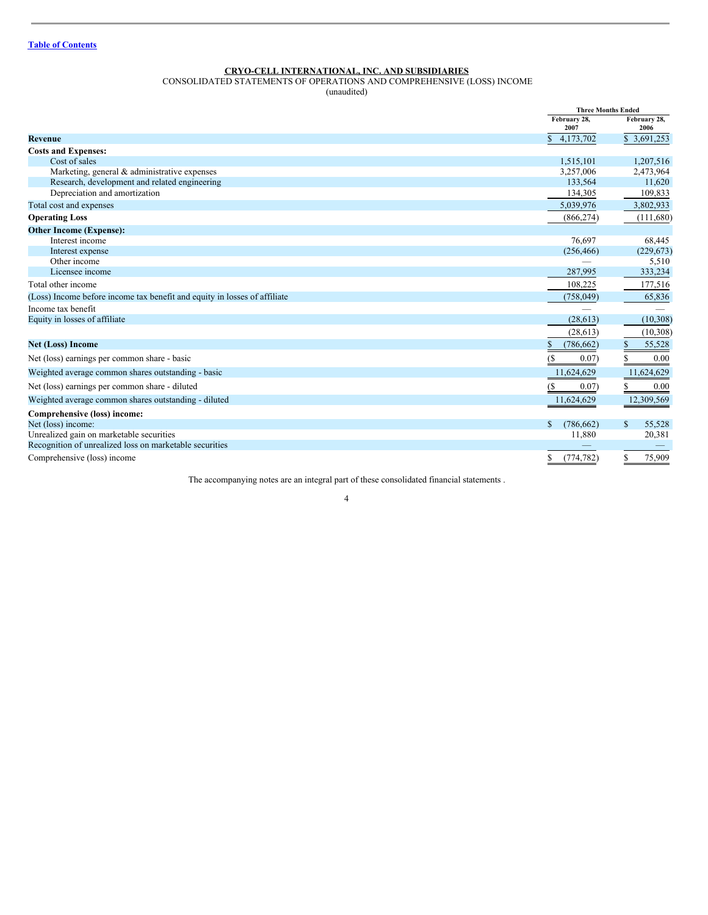<span id="page-3-0"></span>CONSOLIDATED STATEMENTS OF OPERATIONS AND COMPREHENSIVE (LOSS) INCOME

(unaudited)

|                                                                           |                            | <b>Three Months Ended</b> |
|---------------------------------------------------------------------------|----------------------------|---------------------------|
|                                                                           | February 28,<br>2007       | February 28,<br>2006      |
| <b>Revenue</b>                                                            | $\mathbb{S}$<br>4,173,702  | \$ 3,691,253              |
| <b>Costs and Expenses:</b>                                                |                            |                           |
| Cost of sales                                                             | 1,515,101                  | 1,207,516                 |
| Marketing, general & administrative expenses                              | 3,257,006                  | 2,473,964                 |
| Research, development and related engineering                             | 133,564                    | 11,620                    |
| Depreciation and amortization                                             | 134,305                    | 109,833                   |
| Total cost and expenses                                                   | 5,039,976                  | 3,802,933                 |
| <b>Operating Loss</b>                                                     | (866, 274)                 | (111,680)                 |
| <b>Other Income (Expense):</b>                                            |                            |                           |
| Interest income                                                           | 76,697                     | 68,445                    |
| Interest expense                                                          | (256, 466)                 | (229, 673)                |
| Other income                                                              |                            | 5,510                     |
| Licensee income                                                           | 287,995                    | 333,234                   |
| Total other income                                                        | 108,225                    | 177,516                   |
| (Loss) Income before income tax benefit and equity in losses of affiliate | (758, 049)                 | 65,836                    |
| Income tax benefit                                                        |                            |                           |
| Equity in losses of affiliate                                             | (28, 613)                  | (10, 308)                 |
|                                                                           | (28, 613)                  | (10,308)                  |
| <b>Net (Loss) Income</b>                                                  | \$<br>(786, 662)           | $\mathbf S$<br>55,528     |
| Net (loss) earnings per common share - basic                              | (S<br>0.07)                | S.<br>0.00                |
| Weighted average common shares outstanding - basic                        | 11,624,629                 | 11,624,629                |
| Net (loss) earnings per common share - diluted                            | 0.07)<br>(\$               | 0.00<br>S                 |
| Weighted average common shares outstanding - diluted                      | 11,624,629                 | 12,309,569                |
| Comprehensive (loss) income:                                              |                            |                           |
| Net (loss) income:                                                        | $\mathbb{S}$<br>(786, 662) | $\mathbb{S}$<br>55,528    |
| Unrealized gain on marketable securities                                  | 11,880                     | 20,381                    |
| Recognition of unrealized loss on marketable securities                   |                            |                           |
| Comprehensive (loss) income                                               | \$<br>(774, 782)           | 75,909                    |

The accompanying notes are an integral part of these consolidated financial statements .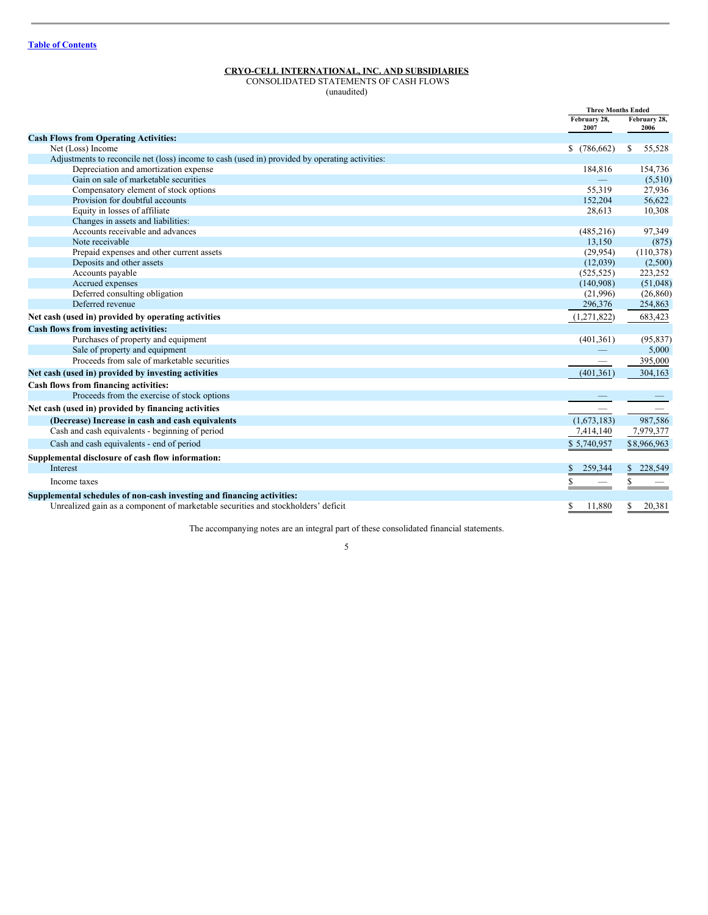<span id="page-4-0"></span>CONSOLIDATED STATEMENTS OF CASH FLOWS

(unaudited)

|                                                                                                | <b>Three Months Ended</b> |                      |
|------------------------------------------------------------------------------------------------|---------------------------|----------------------|
|                                                                                                | February 28,<br>2007      | February 28,<br>2006 |
| <b>Cash Flows from Operating Activities:</b>                                                   |                           |                      |
| Net (Loss) Income                                                                              | \$(786,662)               | 55,528<br>S          |
| Adjustments to reconcile net (loss) income to cash (used in) provided by operating activities: |                           |                      |
| Depreciation and amortization expense                                                          | 184,816                   | 154,736              |
| Gain on sale of marketable securities                                                          |                           | (5,510)              |
| Compensatory element of stock options                                                          | 55,319                    | 27,936               |
| Provision for doubtful accounts                                                                | 152,204                   | 56,622               |
| Equity in losses of affiliate                                                                  | 28,613                    | 10,308               |
| Changes in assets and liabilities:                                                             |                           |                      |
| Accounts receivable and advances                                                               | (485, 216)                | 97,349               |
| Note receivable                                                                                | 13,150                    | (875)                |
| Prepaid expenses and other current assets                                                      | (29, 954)                 | (110,378)            |
| Deposits and other assets                                                                      | (12,039)                  | (2,500)              |
| Accounts payable                                                                               | (525, 525)                | 223,252              |
| Accrued expenses                                                                               | (140,908)                 | (51,048)             |
| Deferred consulting obligation                                                                 | (21,996)                  | (26, 860)            |
| Deferred revenue                                                                               | 296,376                   | 254,863              |
| Net cash (used in) provided by operating activities                                            | (1,271,822)               | 683,423              |
| <b>Cash flows from investing activities:</b>                                                   |                           |                      |
| Purchases of property and equipment                                                            | (401, 361)                | (95, 837)            |
| Sale of property and equipment                                                                 |                           | 5,000                |
| Proceeds from sale of marketable securities                                                    |                           | 395,000              |
| Net cash (used in) provided by investing activities                                            | (401, 361)                | 304,163              |
| Cash flows from financing activities:                                                          |                           |                      |
| Proceeds from the exercise of stock options                                                    |                           |                      |
| Net cash (used in) provided by financing activities                                            | $\qquad \qquad$           |                      |
| (Decrease) Increase in cash and cash equivalents                                               | (1,673,183)               | 987,586              |
| Cash and cash equivalents - beginning of period                                                | 7,414,140                 | 7,979,377            |
| Cash and cash equivalents - end of period                                                      | \$5,740,957               | \$8,966,963          |
| Supplemental disclosure of cash flow information:                                              |                           |                      |
| Interest                                                                                       | 259,344                   | 228,549              |
| Income taxes                                                                                   |                           |                      |
| Supplemental schedules of non-cash investing and financing activities:                         |                           |                      |
| Unrealized gain as a component of marketable securities and stockholders' deficit              | 11.880<br>S               | 20.381<br>\$.        |

The accompanying notes are an integral part of these consolidated financial statements.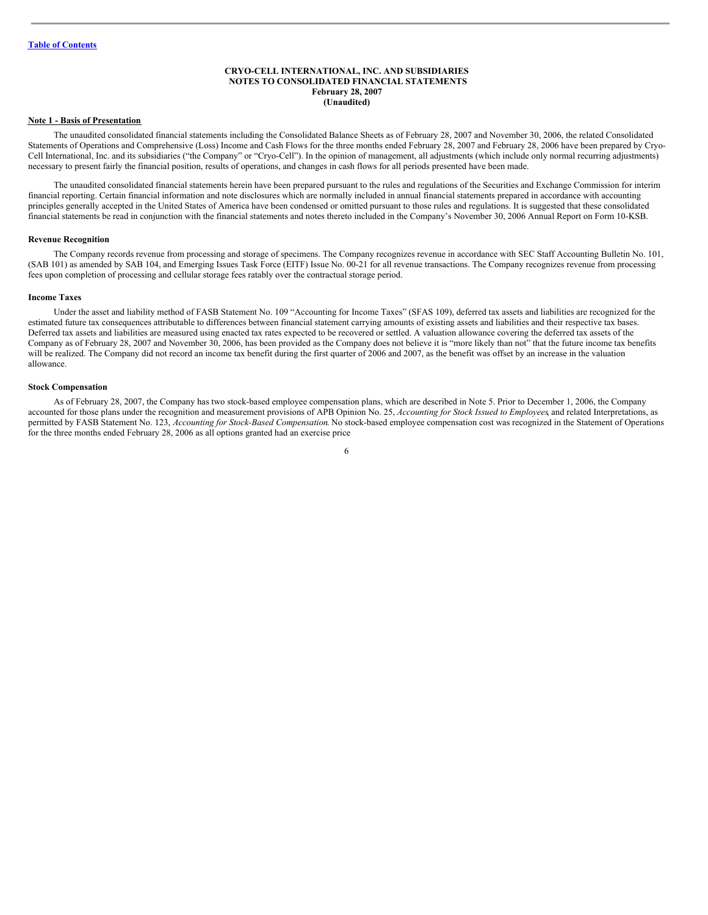## <span id="page-5-0"></span>**CRYO-CELL INTERNATIONAL, INC. AND SUBSIDIARIES NOTES TO CONSOLIDATED FINANCIAL STATEMENTS February 28, 2007 (Unaudited)**

#### **Note 1 - Basis of Presentation**

The unaudited consolidated financial statements including the Consolidated Balance Sheets as of February 28, 2007 and November 30, 2006, the related Consolidated Statements of Operations and Comprehensive (Loss) Income and Cash Flows for the three months ended February 28, 2007 and February 28, 2006 have been prepared by Cryo-Cell International, Inc. and its subsidiaries ("the Company" or "Cryo-Cell"). In the opinion of management, all adjustments (which include only normal recurring adjustments) necessary to present fairly the financial position, results of operations, and changes in cash flows for all periods presented have been made.

The unaudited consolidated financial statements herein have been prepared pursuant to the rules and regulations of the Securities and Exchange Commission for interim financial reporting. Certain financial information and note disclosures which are normally included in annual financial statements prepared in accordance with accounting principles generally accepted in the United States of America have been condensed or omitted pursuant to those rules and regulations. It is suggested that these consolidated financial statements be read in conjunction with the financial statements and notes thereto included in the Company's November 30, 2006 Annual Report on Form 10-KSB.

#### **Revenue Recognition**

The Company records revenue from processing and storage of specimens. The Company recognizes revenue in accordance with SEC Staff Accounting Bulletin No. 101, (SAB 101) as amended by SAB 104, and Emerging Issues Task Force (EITF) Issue No. 00-21 for all revenue transactions. The Company recognizes revenue from processing fees upon completion of processing and cellular storage fees ratably over the contractual storage period.

#### **Income Taxes**

Under the asset and liability method of FASB Statement No. 109 "Accounting for Income Taxes" (SFAS 109), deferred tax assets and liabilities are recognized for the estimated future tax consequences attributable to differences between financial statement carrying amounts of existing assets and liabilities and their respective tax bases. Deferred tax assets and liabilities are measured using enacted tax rates expected to be recovered or settled. A valuation allowance covering the deferred tax assets of the Company as of February 28, 2007 and November 30, 2006, has been provided as the Company does not believe it is "more likely than not" that the future income tax benefits will be realized. The Company did not record an income tax benefit during the first quarter of 2006 and 2007, as the benefit was offset by an increase in the valuation allowance.

#### **Stock Compensation**

As of February 28, 2007, the Company has two stock-based employee compensation plans, which are described in Note 5. Prior to December 1, 2006, the Company accounted for those plans under the recognition and measurement provisions of APB Opinion No. 25, *Accounting for Stock Issued to Employees*, and related Interpretations, as permitted by FASB Statement No. 123, *Accounting for Stock-Based Compensation*. No stock-based employee compensation cost was recognized in the Statement of Operations for the three months ended February 28, 2006 as all options granted had an exercise price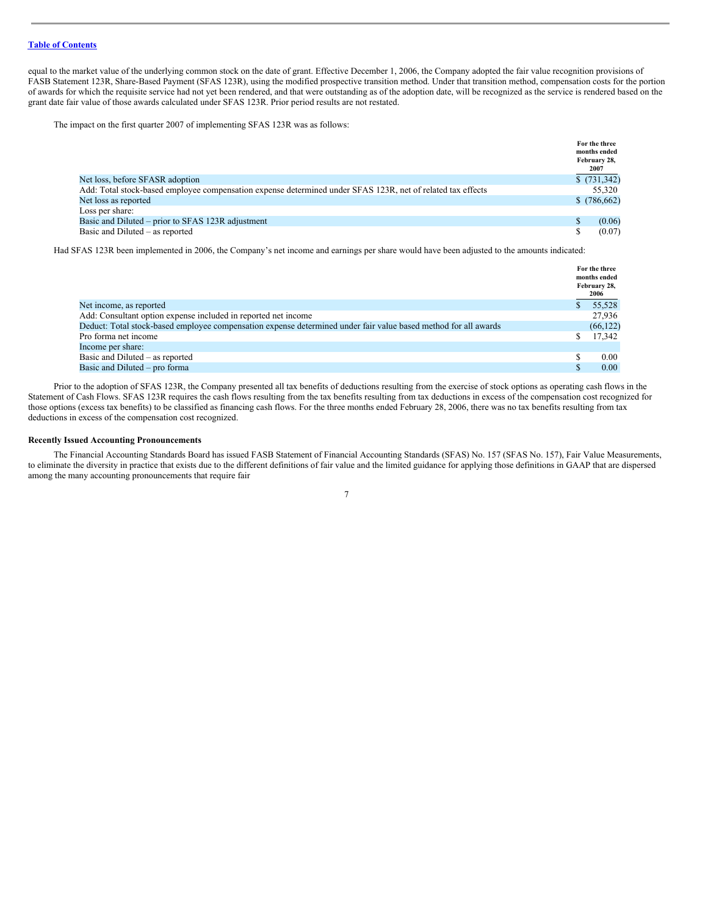equal to the market value of the underlying common stock on the date of grant. Effective December 1, 2006, the Company adopted the fair value recognition provisions of FASB Statement 123R, Share-Based Payment (SFAS 123R), using the modified prospective transition method. Under that transition method, compensation costs for the portion of awards for which the requisite service had not yet been rendered, and that were outstanding as of the adoption date, will be recognized as the service is rendered based on the grant date fair value of those awards calculated under SFAS 123R. Prior period results are not restated.

The impact on the first quarter 2007 of implementing SFAS 123R was as follows:

|                                                                                                             | For the three<br>months ended<br>February 28,<br>2007 |
|-------------------------------------------------------------------------------------------------------------|-------------------------------------------------------|
| Net loss, before SFASR adoption                                                                             | \$(731,342)                                           |
| Add: Total stock-based employee compensation expense determined under SFAS 123R, net of related tax effects | 55.320                                                |
| Net loss as reported                                                                                        | \$(786,662)                                           |
| Loss per share:                                                                                             |                                                       |
| Basic and Diluted – prior to SFAS 123R adjustment                                                           | (0.06)                                                |
| Basic and Diluted – as reported                                                                             | (0.07)                                                |

Had SFAS 123R been implemented in 2006, the Company's net income and earnings per share would have been adjusted to the amounts indicated:

|                                                                                                                 | For the three<br>months ended<br>February 28,<br>2006 |
|-----------------------------------------------------------------------------------------------------------------|-------------------------------------------------------|
| Net income, as reported                                                                                         | 55,528                                                |
| Add: Consultant option expense included in reported net income                                                  | 27.936                                                |
| Deduct: Total stock-based employee compensation expense determined under fair value based method for all awards | (66, 122)                                             |
| Pro forma net income                                                                                            | 17,342                                                |
| Income per share:                                                                                               |                                                       |
| Basic and Diluted – as reported                                                                                 | 0.00                                                  |
| Basic and Diluted – pro forma                                                                                   | 0.00                                                  |

Prior to the adoption of SFAS 123R, the Company presented all tax benefits of deductions resulting from the exercise of stock options as operating cash flows in the Statement of Cash Flows. SFAS 123R requires the cash flows resulting from the tax benefits resulting from tax deductions in excess of the compensation cost recognized for those options (excess tax benefits) to be classified as financing cash flows. For the three months ended February 28, 2006, there was no tax benefits resulting from tax deductions in excess of the compensation cost recognized.

#### **Recently Issued Accounting Pronouncements**

The Financial Accounting Standards Board has issued FASB Statement of Financial Accounting Standards (SFAS) No. 157 (SFAS No. 157), Fair Value Measurements, to eliminate the diversity in practice that exists due to the different definitions of fair value and the limited guidance for applying those definitions in GAAP that are dispersed among the many accounting pronouncements that require fair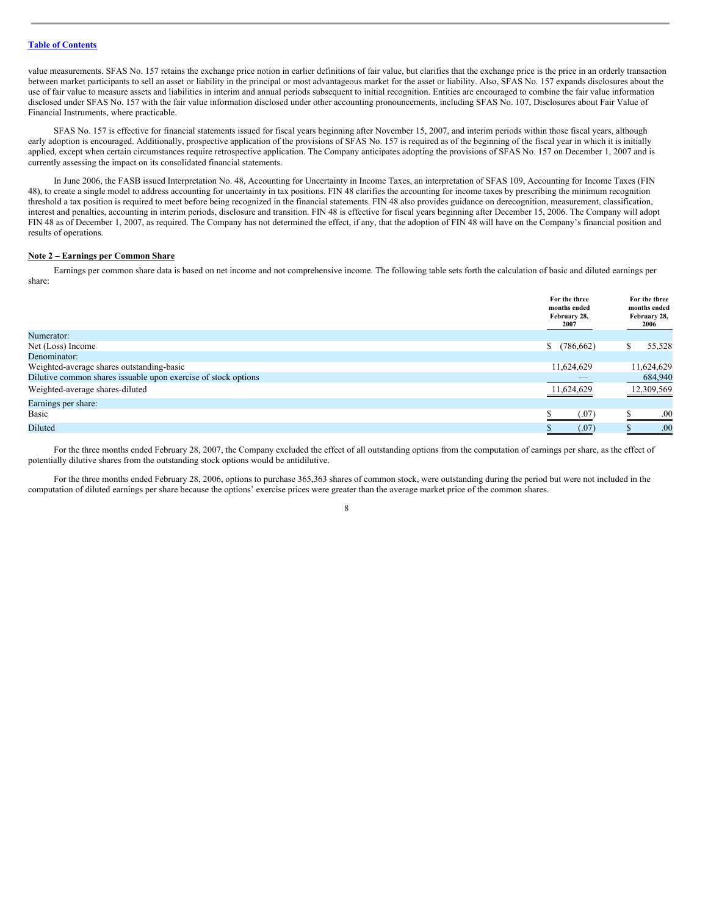value measurements. SFAS No. 157 retains the exchange price notion in earlier definitions of fair value, but clarifies that the exchange price is the price in an orderly transaction between market participants to sell an asset or liability in the principal or most advantageous market for the asset or liability. Also, SFAS No. 157 expands disclosures about the use of fair value to measure assets and liabilities in interim and annual periods subsequent to initial recognition. Entities are encouraged to combine the fair value information disclosed under SFAS No. 157 with the fair value information disclosed under other accounting pronouncements, including SFAS No. 107, Disclosures about Fair Value of Financial Instruments, where practicable.

SFAS No. 157 is effective for financial statements issued for fiscal years beginning after November 15, 2007, and interim periods within those fiscal years, although early adoption is encouraged. Additionally, prospective application of the provisions of SFAS No. 157 is required as of the beginning of the fiscal year in which it is initially applied, except when certain circumstances require retrospective application. The Company anticipates adopting the provisions of SFAS No. 157 on December 1, 2007 and is currently assessing the impact on its consolidated financial statements.

In June 2006, the FASB issued Interpretation No. 48, Accounting for Uncertainty in Income Taxes, an interpretation of SFAS 109, Accounting for Income Taxes (FIN 48), to create a single model to address accounting for uncertainty in tax positions. FIN 48 clarifies the accounting for income taxes by prescribing the minimum recognition threshold a tax position is required to meet before being recognized in the financial statements. FIN 48 also provides guidance on derecognition, measurement, classification, interest and penalties, accounting in interim periods, disclosure and transition. FIN 48 is effective for fiscal years beginning after December 15, 2006. The Company will adopt FIN 48 as of December 1, 2007, as required. The Company has not determined the effect, if any, that the adoption of FIN 48 will have on the Company's financial position and results of operations.

## **Note 2 – Earnings per Common Share**

Earnings per common share data is based on net income and not comprehensive income. The following table sets forth the calculation of basic and diluted earnings per share:

|                                                                | For the three<br>months ended<br>February 28,<br>2007 | For the three<br>months ended<br>February 28,<br>2006 |
|----------------------------------------------------------------|-------------------------------------------------------|-------------------------------------------------------|
| Numerator:                                                     |                                                       |                                                       |
| Net (Loss) Income                                              | (786, 662)<br>\$                                      | 55,528                                                |
| Denominator:                                                   |                                                       |                                                       |
| Weighted-average shares outstanding-basic                      | 11,624,629                                            | 11,624,629                                            |
| Dilutive common shares issuable upon exercise of stock options |                                                       | 684,940                                               |
| Weighted-average shares-diluted                                | 11,624,629                                            | 12,309,569                                            |
| Earnings per share:                                            |                                                       |                                                       |
| Basic                                                          | (.07)                                                 | .00                                                   |
| Diluted                                                        | (.07)                                                 | .00                                                   |

For the three months ended February 28, 2007, the Company excluded the effect of all outstanding options from the computation of earnings per share, as the effect of potentially dilutive shares from the outstanding stock options would be antidilutive.

For the three months ended February 28, 2006, options to purchase 365,363 shares of common stock, were outstanding during the period but were not included in the computation of diluted earnings per share because the options' exercise prices were greater than the average market price of the common shares.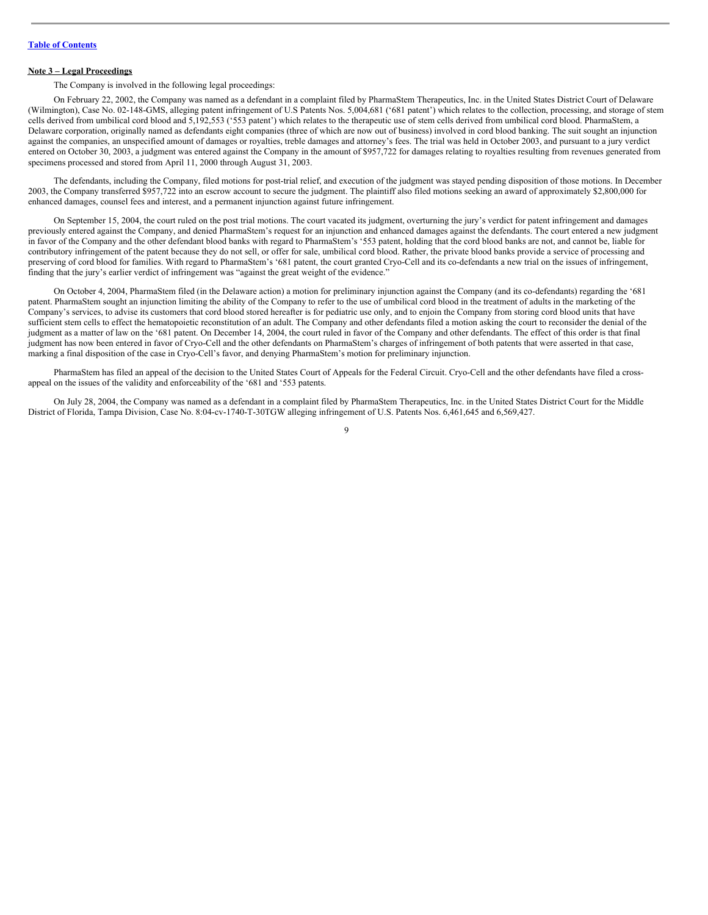## **Note 3 – Legal Proceedings**

The Company is involved in the following legal proceedings:

On February 22, 2002, the Company was named as a defendant in a complaint filed by PharmaStem Therapeutics, Inc. in the United States District Court of Delaware (Wilmington), Case No. 02-148-GMS, alleging patent infringement of U.S Patents Nos. 5,004,681 ('681 patent') which relates to the collection, processing, and storage of stem cells derived from umbilical cord blood and 5,192,553 ('553 patent') which relates to the therapeutic use of stem cells derived from umbilical cord blood. PharmaStem, a Delaware corporation, originally named as defendants eight companies (three of which are now out of business) involved in cord blood banking. The suit sought an injunction against the companies, an unspecified amount of damages or royalties, treble damages and attorney's fees. The trial was held in October 2003, and pursuant to a jury verdict entered on October 30, 2003, a judgment was entered against the Company in the amount of \$957,722 for damages relating to royalties resulting from revenues generated from specimens processed and stored from April 11, 2000 through August 31, 2003.

The defendants, including the Company, filed motions for post-trial relief, and execution of the judgment was stayed pending disposition of those motions. In December 2003, the Company transferred \$957,722 into an escrow account to secure the judgment. The plaintiff also filed motions seeking an award of approximately \$2,800,000 for enhanced damages, counsel fees and interest, and a permanent injunction against future infringement.

On September 15, 2004, the court ruled on the post trial motions. The court vacated its judgment, overturning the jury's verdict for patent infringement and damages previously entered against the Company, and denied PharmaStem's request for an injunction and enhanced damages against the defendants. The court entered a new judgment in favor of the Company and the other defendant blood banks with regard to PharmaStem's '553 patent, holding that the cord blood banks are not, and cannot be, liable for contributory infringement of the patent because they do not sell, or offer for sale, umbilical cord blood. Rather, the private blood banks provide a service of processing and preserving of cord blood for families. With regard to PharmaStem's '681 patent, the court granted Cryo-Cell and its co-defendants a new trial on the issues of infringement, finding that the jury's earlier verdict of infringement was "against the great weight of the evidence."

On October 4, 2004, PharmaStem filed (in the Delaware action) a motion for preliminary injunction against the Company (and its co-defendants) regarding the '681 patent. PharmaStem sought an injunction limiting the ability of the Company to refer to the use of umbilical cord blood in the treatment of adults in the marketing of the Company's services, to advise its customers that cord blood stored hereafter is for pediatric use only, and to enjoin the Company from storing cord blood units that have sufficient stem cells to effect the hematopoietic reconstitution of an adult. The Company and other defendants filed a motion asking the court to reconsider the denial of the judgment as a matter of law on the '681 patent. On December 14, 2004, the court ruled in favor of the Company and other defendants. The effect of this order is that final judgment has now been entered in favor of Cryo-Cell and the other defendants on PharmaStem's charges of infringement of both patents that were asserted in that case, marking a final disposition of the case in Cryo-Cell's favor, and denying PharmaStem's motion for preliminary injunction.

PharmaStem has filed an appeal of the decision to the United States Court of Appeals for the Federal Circuit. Cryo-Cell and the other defendants have filed a crossappeal on the issues of the validity and enforceability of the '681 and '553 patents.

On July 28, 2004, the Company was named as a defendant in a complaint filed by PharmaStem Therapeutics, Inc. in the United States District Court for the Middle District of Florida, Tampa Division, Case No. 8:04-cv-1740-T-30TGW alleging infringement of U.S. Patents Nos. 6,461,645 and 6,569,427.

 $\alpha$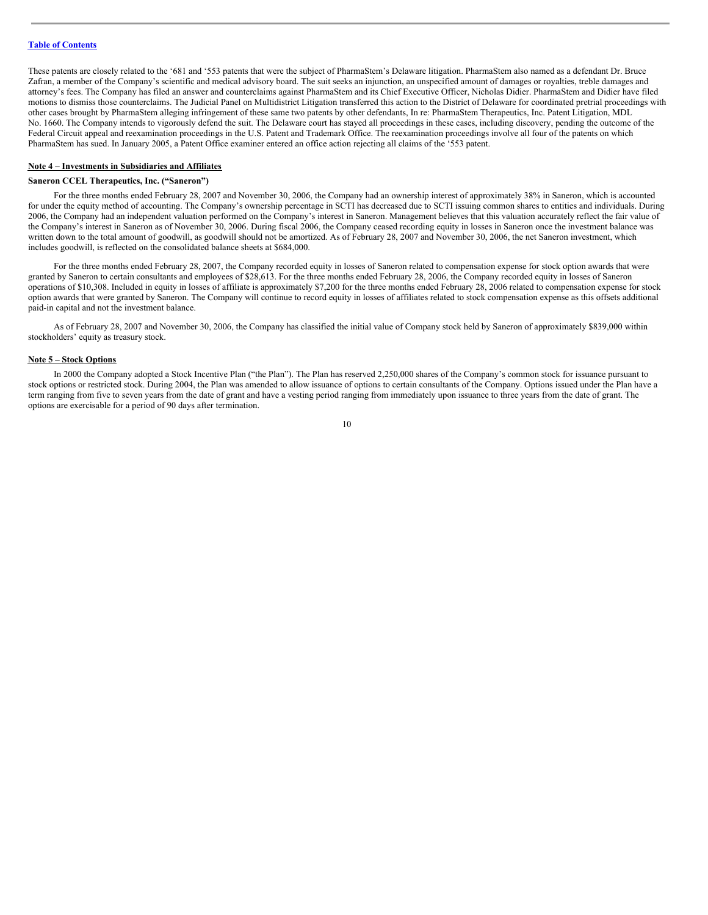These patents are closely related to the '681 and '553 patents that were the subject of PharmaStem's Delaware litigation. PharmaStem also named as a defendant Dr. Bruce Zafran, a member of the Company's scientific and medical advisory board. The suit seeks an injunction, an unspecified amount of damages or royalties, treble damages and attorney's fees. The Company has filed an answer and counterclaims against PharmaStem and its Chief Executive Officer, Nicholas Didier. PharmaStem and Didier have filed motions to dismiss those counterclaims. The Judicial Panel on Multidistrict Litigation transferred this action to the District of Delaware for coordinated pretrial proceedings with other cases brought by PharmaStem alleging infringement of these same two patents by other defendants, In re: PharmaStem Therapeutics, Inc. Patent Litigation, MDL No. 1660. The Company intends to vigorously defend the suit. The Delaware court has stayed all proceedings in these cases, including discovery, pending the outcome of the Federal Circuit appeal and reexamination proceedings in the U.S. Patent and Trademark Office. The reexamination proceedings involve all four of the patents on which PharmaStem has sued. In January 2005, a Patent Office examiner entered an office action rejecting all claims of the '553 patent.

#### **Note 4 – Investments in Subsidiaries and Affiliates**

## **Saneron CCEL Therapeutics, Inc. ("Saneron")**

For the three months ended February 28, 2007 and November 30, 2006, the Company had an ownership interest of approximately 38% in Saneron, which is accounted for under the equity method of accounting. The Company's ownership percentage in SCTI has decreased due to SCTI issuing common shares to entities and individuals. During 2006, the Company had an independent valuation performed on the Company's interest in Saneron. Management believes that this valuation accurately reflect the fair value of the Company's interest in Saneron as of November 30, 2006. During fiscal 2006, the Company ceased recording equity in losses in Saneron once the investment balance was written down to the total amount of goodwill, as goodwill should not be amortized. As of February 28, 2007 and November 30, 2006, the net Saneron investment, which includes goodwill, is reflected on the consolidated balance sheets at \$684,000.

For the three months ended February 28, 2007, the Company recorded equity in losses of Saneron related to compensation expense for stock option awards that were granted by Saneron to certain consultants and employees of \$28,613. For the three months ended February 28, 2006, the Company recorded equity in losses of Saneron operations of \$10,308. Included in equity in losses of affiliate is approximately \$7,200 for the three months ended February 28, 2006 related to compensation expense for stock option awards that were granted by Saneron. The Company will continue to record equity in losses of affiliates related to stock compensation expense as this offsets additional paid-in capital and not the investment balance.

As of February 28, 2007 and November 30, 2006, the Company has classified the initial value of Company stock held by Saneron of approximately \$839,000 within stockholders' equity as treasury stock.

## **Note 5 – Stock Options**

In 2000 the Company adopted a Stock Incentive Plan ("the Plan"). The Plan has reserved 2,250,000 shares of the Company's common stock for issuance pursuant to stock options or restricted stock. During 2004, the Plan was amended to allow issuance of options to certain consultants of the Company. Options issued under the Plan have a term ranging from five to seven years from the date of grant and have a vesting period ranging from immediately upon issuance to three years from the date of grant. The options are exercisable for a period of 90 days after termination.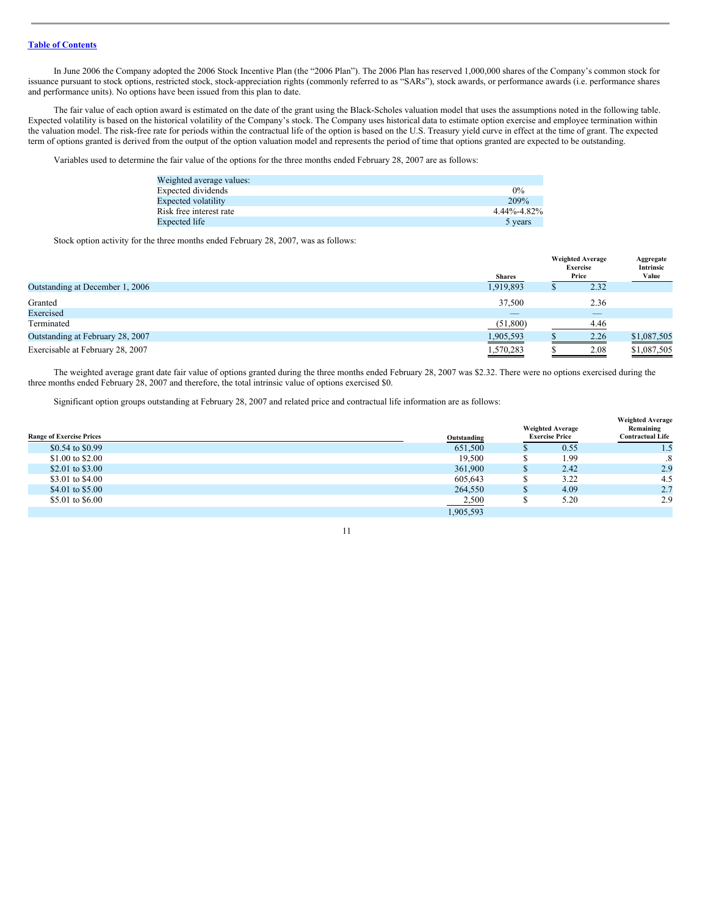In June 2006 the Company adopted the 2006 Stock Incentive Plan (the "2006 Plan"). The 2006 Plan has reserved 1,000,000 shares of the Company's common stock for issuance pursuant to stock options, restricted stock, stock-appreciation rights (commonly referred to as "SARs"), stock awards, or performance awards (i.e. performance shares and performance units). No options have been issued from this plan to date.

The fair value of each option award is estimated on the date of the grant using the Black-Scholes valuation model that uses the assumptions noted in the following table. Expected volatility is based on the historical volatility of the Company's stock. The Company uses historical data to estimate option exercise and employee termination within the valuation model. The risk-free rate for periods within the contractual life of the option is based on the U.S. Treasury yield curve in effect at the time of grant. The expected term of options granted is derived from the output of the option valuation model and represents the period of time that options granted are expected to be outstanding.

Variables used to determine the fair value of the options for the three months ended February 28, 2007 are as follows:

| Weighted average values: |                   |
|--------------------------|-------------------|
| Expected dividends       | $0\%$             |
| Expected volatility      | 209%              |
| Risk free interest rate  | $4.44\% - 4.82\%$ |
| Expected life            | 5 years           |

Stock option activity for the three months ended February 28, 2007, was as follows:

|                                  |                            | <b>Weighted Average</b><br><b>Exercise</b><br>Price |      | Aggregate<br>Intrinsic<br>Value |  |
|----------------------------------|----------------------------|-----------------------------------------------------|------|---------------------------------|--|
|                                  | <b>Shares</b>              |                                                     |      |                                 |  |
| Outstanding at December 1, 2006  | 1,919,893                  |                                                     | 2.32 |                                 |  |
| Granted                          | 37,500                     |                                                     | 2.36 |                                 |  |
| Exercised                        | $-$                        |                                                     | $-$  |                                 |  |
| Terminated                       | (51,800)                   |                                                     | 4.46 |                                 |  |
| Outstanding at February 28, 2007 | 1,905,593<br>$\sim$ $\sim$ |                                                     | 2.26 | \$1,087,505                     |  |
| Exercisable at February 28, 2007 | 1,570,283                  |                                                     | 2.08 | \$1,087,505                     |  |

The weighted average grant date fair value of options granted during the three months ended February 28, 2007 was \$2.32. There were no options exercised during the three months ended February 28, 2007 and therefore, the total intrinsic value of options exercised \$0.

Significant option groups outstanding at February 28, 2007 and related price and contractual life information are as follows:

| <b>Range of Exercise Prices</b> | Outstanding |    | <b>Weighted Average</b><br><b>Exercise Price</b> | <b>Weighted Average</b><br>Remaining<br><b>Contractual Life</b> |
|---------------------------------|-------------|----|--------------------------------------------------|-----------------------------------------------------------------|
| \$0.54 to \$0.99                | 651,500     | ъĐ | 0.55                                             | 1.5                                                             |
| \$1.00 to \$2.00                | 19.500      |    | 1.99                                             | $.8\phantom{0}$                                                 |
| \$2.01 to \$3.00                | 361,900     | D  | 2.42                                             | 2.9                                                             |
| \$3.01 to \$4.00                | 605,643     |    | 3.22                                             | 4.5                                                             |
| \$4.01 to \$5.00                | 264,550     | Φ  | 4.09                                             | 2.7                                                             |
| \$5.01 to \$6.00                | 2,500       | د∪ | 5.20                                             | 2.9                                                             |
|                                 | 1.905.593   |    |                                                  |                                                                 |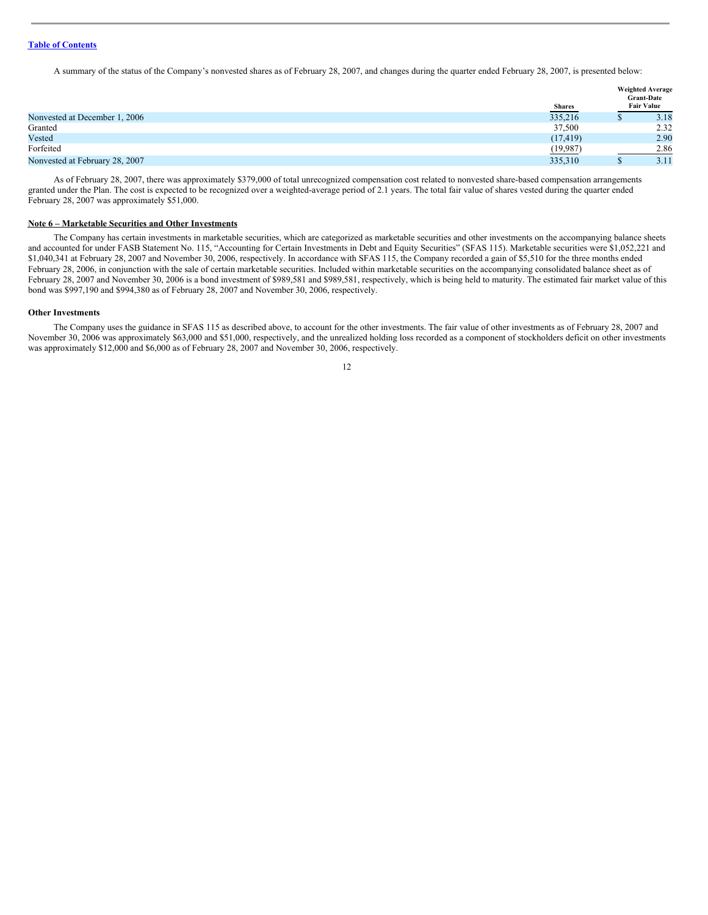A summary of the status of the Company's nonvested shares as of February 28, 2007, and changes during the quarter ended February 28, 2007, is presented below:

|                                | <b>Shares</b> | <b>Weighted Average</b><br><b>Grant-Date</b><br><b>Fair Value</b> |
|--------------------------------|---------------|-------------------------------------------------------------------|
| Nonvested at December 1, 2006  | 335,216       | 3.18                                                              |
| Granted                        | 37,500        | 2.32                                                              |
| Vested                         | (17, 419)     | 2.90                                                              |
| Forfeited                      | (19, 987)     | 2.86                                                              |
| Nonvested at February 28, 2007 | 335,310       | 3.11                                                              |
|                                |               |                                                                   |

As of February 28, 2007, there was approximately \$379,000 of total unrecognized compensation cost related to nonvested share-based compensation arrangements granted under the Plan. The cost is expected to be recognized over a weighted-average period of 2.1 years. The total fair value of shares vested during the quarter ended February 28, 2007 was approximately \$51,000.

## **Note 6 – Marketable Securities and Other Investments**

The Company has certain investments in marketable securities, which are categorized as marketable securities and other investments on the accompanying balance sheets and accounted for under FASB Statement No. 115, "Accounting for Certain Investments in Debt and Equity Securities" (SFAS 115). Marketable securities were \$1,052,221 and \$1,040,341 at February 28, 2007 and November 30, 2006, respectively. In accordance with SFAS 115, the Company recorded a gain of \$5,510 for the three months ended February 28, 2006, in conjunction with the sale of certain marketable securities. Included within marketable securities on the accompanying consolidated balance sheet as of February 28, 2007 and November 30, 2006 is a bond investment of \$989,581 and \$989,581, respectively, which is being held to maturity. The estimated fair market value of this bond was \$997,190 and \$994,380 as of February 28, 2007 and November 30, 2006, respectively.

#### **Other Investments**

The Company uses the guidance in SFAS 115 as described above, to account for the other investments. The fair value of other investments as of February 28, 2007 and November 30, 2006 was approximately \$63,000 and \$51,000, respectively, and the unrealized holding loss recorded as a component of stockholders deficit on other investments was approximately \$12,000 and \$6,000 as of February 28, 2007 and November 30, 2006, respectively.

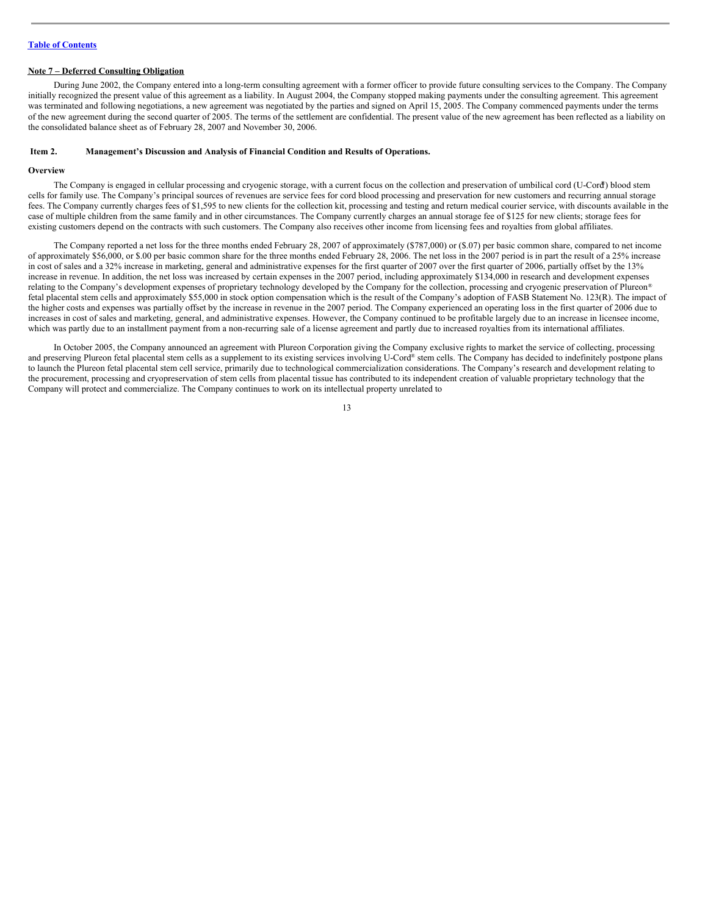## **Note 7 – Deferred Consulting Obligation**

During June 2002, the Company entered into a long-term consulting agreement with a former officer to provide future consulting services to the Company. The Company initially recognized the present value of this agreement as a liability. In August 2004, the Company stopped making payments under the consulting agreement. This agreement was terminated and following negotiations, a new agreement was negotiated by the parties and signed on April 15, 2005. The Company commenced payments under the terms of the new agreement during the second quarter of 2005. The terms of the settlement are confidential. The present value of the new agreement has been reflected as a liability on the consolidated balance sheet as of February 28, 2007 and November 30, 2006.

### <span id="page-12-0"></span>**Item 2. Management's Discussion and Analysis of Financial Condition and Results of Operations.**

#### **Overview**

The Company is engaged in cellular processing and cryogenic storage, with a current focus on the collection and preservation of umbilical cord (U-Cord ®) blood stem cells for family use. The Company's principal sources of revenues are service fees for cord blood processing and preservation for new customers and recurring annual storage fees. The Company currently charges fees of \$1,595 to new clients for the collection kit, processing and testing and return medical courier service, with discounts available in the case of multiple children from the same family and in other circumstances. The Company currently charges an annual storage fee of \$125 for new clients; storage fees for existing customers depend on the contracts with such customers. The Company also receives other income from licensing fees and royalties from global affiliates.

The Company reported a net loss for the three months ended February 28, 2007 of approximately (\$787,000) or (\$.07) per basic common share, compared to net income of approximately \$56,000, or \$.00 per basic common share for the three months ended February 28, 2006. The net loss in the 2007 period is in part the result of a 25% increase in cost of sales and a 32% increase in marketing, general and administrative expenses for the first quarter of 2007 over the first quarter of 2006, partially offset by the 13% increase in revenue. In addition, the net loss was increased by certain expenses in the 2007 period, including approximately \$134,000 in research and development expenses relating to the Company's development expenses of proprietary technology developed by the Company for the collection, processing and cryogenic preservation of Plureon® fetal placental stem cells and approximately \$55,000 in stock option compensation which is the result of the Company's adoption of FASB Statement No. 123(R). The impact of the higher costs and expenses was partially offset by the increase in revenue in the 2007 period. The Company experienced an operating loss in the first quarter of 2006 due to increases in cost of sales and marketing, general, and administrative expenses. However, the Company continued to be profitable largely due to an increase in licensee income, which was partly due to an installment payment from a non-recurring sale of a license agreement and partly due to increased royalties from its international affiliates.

In October 2005, the Company announced an agreement with Plureon Corporation giving the Company exclusive rights to market the service of collecting, processing and preserving Plureon fetal placental stem cells as a supplement to its existing services involving U-Cord® stem cells. The Company has decided to indefinitely postpone plans to launch the Plureon fetal placental stem cell service, primarily due to technological commercialization considerations. The Company's research and development relating to the procurement, processing and cryopreservation of stem cells from placental tissue has contributed to its independent creation of valuable proprietary technology that the Company will protect and commercialize. The Company continues to work on its intellectual property unrelated to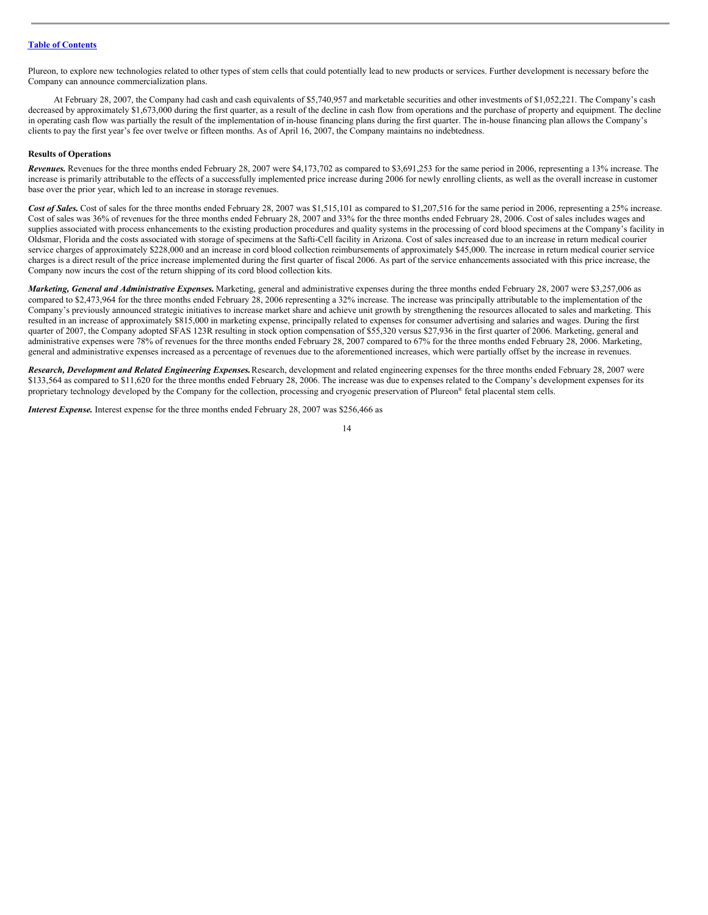Plureon, to explore new technologies related to other types of stem cells that could potentially lead to new products or services. Further development is necessary before the Company can announce commercialization plans.

At February 28, 2007, the Company had cash and cash equivalents of \$5,740,957 and marketable securities and other investments of \$1,052,221. The Company's cash decreased by approximately \$1,673,000 during the first quarter, as a result of the decline in cash flow from operations and the purchase of property and equipment. The decline in operating cash flow was partially the result of the implementation of in-house financing plans during the first quarter. The in-house financing plan allows the Company's clients to pay the first year's fee over twelve or fifteen months. As of April 16, 2007, the Company maintains no indebtedness.

## **Results of Operations**

*Revenues.* Revenues for the three months ended February 28, 2007 were \$4,173,702 as compared to \$3,691,253 for the same period in 2006, representing a 13% increase. The increase is primarily attributable to the effects of a successfully implemented price increase during 2006 for newly enrolling clients, as well as the overall increase in customer base over the prior year, which led to an increase in storage revenues.

Cost of Sales. Cost of sales for the three months ended February 28, 2007 was \$1,515,101 as compared to \$1,207,516 for the same period in 2006, representing a 25% increase. Cost of sales was 36% of revenues for the three months ended February 28, 2007 and 33% for the three months ended February 28, 2006. Cost of sales includes wages and supplies associated with process enhancements to the existing production procedures and quality systems in the processing of cord blood specimens at the Company's facility in Oldsmar, Florida and the costs associated with storage of specimens at the Safti-Cell facility in Arizona. Cost of sales increased due to an increase in return medical courier service charges of approximately \$228,000 and an increase in cord blood collection reimbursements of approximately \$45,000. The increase in return medical courier service charges is a direct result of the price increase implemented during the first quarter of fiscal 2006. As part of the service enhancements associated with this price increase, the Company now incurs the cost of the return shipping of its cord blood collection kits.

*Marketing, General and Administrative Expenses.* Marketing, general and administrative expenses during the three months ended February 28, 2007 were \$3,257,006 as compared to \$2,473,964 for the three months ended February 28, 2006 representing a 32% increase. The increase was principally attributable to the implementation of the Company's previously announced strategic initiatives to increase market share and achieve unit growth by strengthening the resources allocated to sales and marketing. This resulted in an increase of approximately \$815,000 in marketing expense, principally related to expenses for consumer advertising and salaries and wages. During the first quarter of 2007, the Company adopted SFAS 123R resulting in stock option compensation of \$55,320 versus \$27,936 in the first quarter of 2006. Marketing, general and administrative expenses were 78% of revenues for the three months ended February 28, 2007 compared to 67% for the three months ended February 28, 2006. Marketing, general and administrative expenses increased as a percentage of revenues due to the aforementioned increases, which were partially offset by the increase in revenues.

*Research, Development and Related Engineering Expenses.*Research, development and related engineering expenses for the three months ended February 28, 2007 were \$133,564 as compared to \$11,620 for the three months ended February 28, 2006. The increase was due to expenses related to the Company's development expenses for its proprietary technology developed by the Company for the collection, processing and cryogenic preservation of Plureon ® fetal placental stem cells.

*Interest Expense.* Interest expense for the three months ended February 28, 2007 was \$256,466 as

| I |
|---|
|   |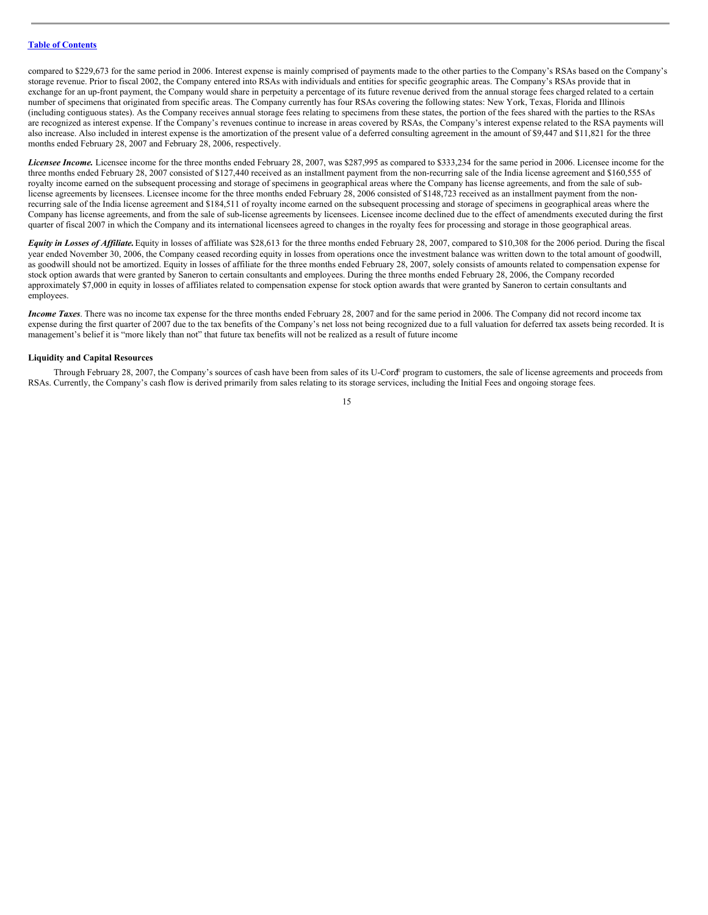compared to \$229,673 for the same period in 2006. Interest expense is mainly comprised of payments made to the other parties to the Company's RSAs based on the Company's storage revenue. Prior to fiscal 2002, the Company entered into RSAs with individuals and entities for specific geographic areas. The Company's RSAs provide that in exchange for an up-front payment, the Company would share in perpetuity a percentage of its future revenue derived from the annual storage fees charged related to a certain number of specimens that originated from specific areas. The Company currently has four RSAs covering the following states: New York, Texas, Florida and Illinois (including contiguous states). As the Company receives annual storage fees relating to specimens from these states, the portion of the fees shared with the parties to the RSAs are recognized as interest expense. If the Company's revenues continue to increase in areas covered by RSAs, the Company's interest expense related to the RSA payments will also increase. Also included in interest expense is the amortization of the present value of a deferred consulting agreement in the amount of \$9,447 and \$11,821 for the three months ended February 28, 2007 and February 28, 2006, respectively.

*Licensee Income.* Licensee income for the three months ended February 28, 2007, was \$287,995 as compared to \$333,234 for the same period in 2006. Licensee income for the three months ended February 28, 2007 consisted of \$127,440 received as an installment payment from the non-recurring sale of the India license agreement and \$160,555 of royalty income earned on the subsequent processing and storage of specimens in geographical areas where the Company has license agreements, and from the sale of sublicense agreements by licensees. Licensee income for the three months ended February 28, 2006 consisted of \$148,723 received as an installment payment from the nonrecurring sale of the India license agreement and \$184,511 of royalty income earned on the subsequent processing and storage of specimens in geographical areas where the Company has license agreements, and from the sale of sub-license agreements by licensees. Licensee income declined due to the effect of amendments executed during the first quarter of fiscal 2007 in which the Company and its international licensees agreed to changes in the royalty fees for processing and storage in those geographical areas.

*Equity in Losses of Af iliate.*Equity in losses of affiliate was \$28,613 for the three months ended February 28, 2007, compared to \$10,308 for the 2006 period. During the fiscal year ended November 30, 2006, the Company ceased recording equity in losses from operations once the investment balance was written down to the total amount of goodwill, as goodwill should not be amortized. Equity in losses of affiliate for the three months ended February 28, 2007, solely consists of amounts related to compensation expense for stock option awards that were granted by Saneron to certain consultants and employees. During the three months ended February 28, 2006, the Company recorded approximately \$7,000 in equity in losses of affiliates related to compensation expense for stock option awards that were granted by Saneron to certain consultants and employees.

*Income Taxes*. There was no income tax expense for the three months ended February 28, 2007 and for the same period in 2006. The Company did not record income tax expense during the first quarter of 2007 due to the tax benefits of the Company's net loss not being recognized due to a full valuation for deferred tax assets being recorded. It is management's belief it is "more likely than not" that future tax benefits will not be realized as a result of future income

## **Liquidity and Capital Resources**

Through February 28, 2007, the Company's sources of cash have been from sales of its U-Cord ® program to customers, the sale of license agreements and proceeds from RSAs. Currently, the Company's cash flow is derived primarily from sales relating to its storage services, including the Initial Fees and ongoing storage fees.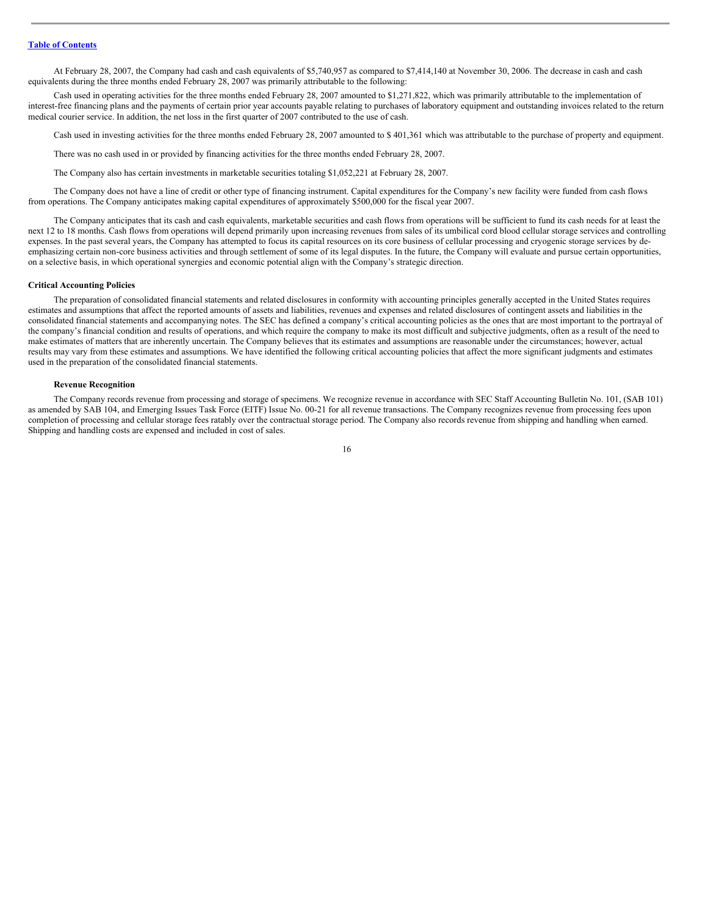At February 28, 2007, the Company had cash and cash equivalents of \$5,740,957 as compared to \$7,414,140 at November 30, 2006. The decrease in cash and cash equivalents during the three months ended February 28, 2007 was primarily attributable to the following:

Cash used in operating activities for the three months ended February 28, 2007 amounted to \$1,271,822, which was primarily attributable to the implementation of interest-free financing plans and the payments of certain prior year accounts payable relating to purchases of laboratory equipment and outstanding invoices related to the return medical courier service. In addition, the net loss in the first quarter of 2007 contributed to the use of cash.

Cash used in investing activities for the three months ended February 28, 2007 amounted to \$ 401,361 which was attributable to the purchase of property and equipment.

There was no cash used in or provided by financing activities for the three months ended February 28, 2007.

The Company also has certain investments in marketable securities totaling \$1,052,221 at February 28, 2007.

The Company does not have a line of credit or other type of financing instrument. Capital expenditures for the Company's new facility were funded from cash flows from operations. The Company anticipates making capital expenditures of approximately \$500,000 for the fiscal year 2007.

The Company anticipates that its cash and cash equivalents, marketable securities and cash flows from operations will be sufficient to fund its cash needs for at least the next 12 to 18 months. Cash flows from operations will depend primarily upon increasing revenues from sales of its umbilical cord blood cellular storage services and controlling expenses. In the past several years, the Company has attempted to focus its capital resources on its core business of cellular processing and cryogenic storage services by deemphasizing certain non-core business activities and through settlement of some of its legal disputes. In the future, the Company will evaluate and pursue certain opportunities, on a selective basis, in which operational synergies and economic potential align with the Company's strategic direction.

#### **Critical Accounting Policies**

The preparation of consolidated financial statements and related disclosures in conformity with accounting principles generally accepted in the United States requires estimates and assumptions that affect the reported amounts of assets and liabilities, revenues and expenses and related disclosures of contingent assets and liabilities in the consolidated financial statements and accompanying notes. The SEC has defined a company's critical accounting policies as the ones that are most important to the portrayal of the company's financial condition and results of operations, and which require the company to make its most difficult and subjective judgments, often as a result of the need to make estimates of matters that are inherently uncertain. The Company believes that its estimates and assumptions are reasonable under the circumstances; however, actual results may vary from these estimates and assumptions. We have identified the following critical accounting policies that affect the more significant judgments and estimates used in the preparation of the consolidated financial statements.

#### **Revenue Recognition**

The Company records revenue from processing and storage of specimens. We recognize revenue in accordance with SEC Staff Accounting Bulletin No. 101, (SAB 101) as amended by SAB 104, and Emerging Issues Task Force (EITF) Issue No. 00-21 for all revenue transactions. The Company recognizes revenue from processing fees upon completion of processing and cellular storage fees ratably over the contractual storage period. The Company also records revenue from shipping and handling when earned. Shipping and handling costs are expensed and included in cost of sales.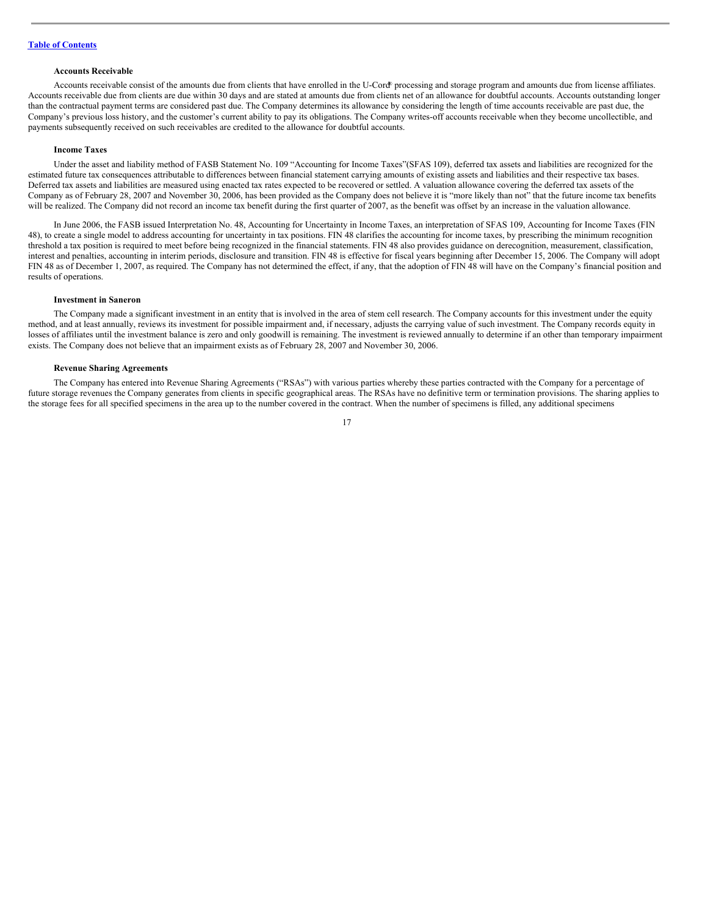## **Accounts Receivable**

Accounts receivable consist of the amounts due from clients that have enrolled in the U-Cord<sup>®</sup> processing and storage program and amounts due from license affiliates. Accounts receivable due from clients are due within 30 days and are stated at amounts due from clients net of an allowance for doubtful accounts. Accounts outstanding longer than the contractual payment terms are considered past due. The Company determines its allowance by considering the length of time accounts receivable are past due, the Company's previous loss history, and the customer's current ability to pay its obligations. The Company writes-off accounts receivable when they become uncollectible, and payments subsequently received on such receivables are credited to the allowance for doubtful accounts.

#### **Income Taxes**

Under the asset and liability method of FASB Statement No. 109 "Accounting for Income Taxes"(SFAS 109), deferred tax assets and liabilities are recognized for the estimated future tax consequences attributable to differences between financial statement carrying amounts of existing assets and liabilities and their respective tax bases. Deferred tax assets and liabilities are measured using enacted tax rates expected to be recovered or settled. A valuation allowance covering the deferred tax assets of the Company as of February 28, 2007 and November 30, 2006, has been provided as the Company does not believe it is "more likely than not" that the future income tax benefits will be realized. The Company did not record an income tax benefit during the first quarter of 2007, as the benefit was offset by an increase in the valuation allowance.

In June 2006, the FASB issued Interpretation No. 48, Accounting for Uncertainty in Income Taxes, an interpretation of SFAS 109, Accounting for Income Taxes (FIN 48), to create a single model to address accounting for uncertainty in tax positions. FIN 48 clarifies the accounting for income taxes, by prescribing the minimum recognition threshold a tax position is required to meet before being recognized in the financial statements. FIN 48 also provides guidance on derecognition, measurement, classification, interest and penalties, accounting in interim periods, disclosure and transition. FIN 48 is effective for fiscal years beginning after December 15, 2006. The Company will adopt FIN 48 as of December 1, 2007, as required. The Company has not determined the effect, if any, that the adoption of FIN 48 will have on the Company's financial position and results of operations.

#### **Investment in Saneron**

The Company made a significant investment in an entity that is involved in the area of stem cell research. The Company accounts for this investment under the equity method, and at least annually, reviews its investment for possible impairment and, if necessary, adjusts the carrying value of such investment. The Company records equity in losses of affiliates until the investment balance is zero and only goodwill is remaining. The investment is reviewed annually to determine if an other than temporary impairment exists. The Company does not believe that an impairment exists as of February 28, 2007 and November 30, 2006.

#### **Revenue Sharing Agreements**

The Company has entered into Revenue Sharing Agreements ("RSAs") with various parties whereby these parties contracted with the Company for a percentage of future storage revenues the Company generates from clients in specific geographical areas. The RSAs have no definitive term or termination provisions. The sharing applies to the storage fees for all specified specimens in the area up to the number covered in the contract. When the number of specimens is filled, any additional specimens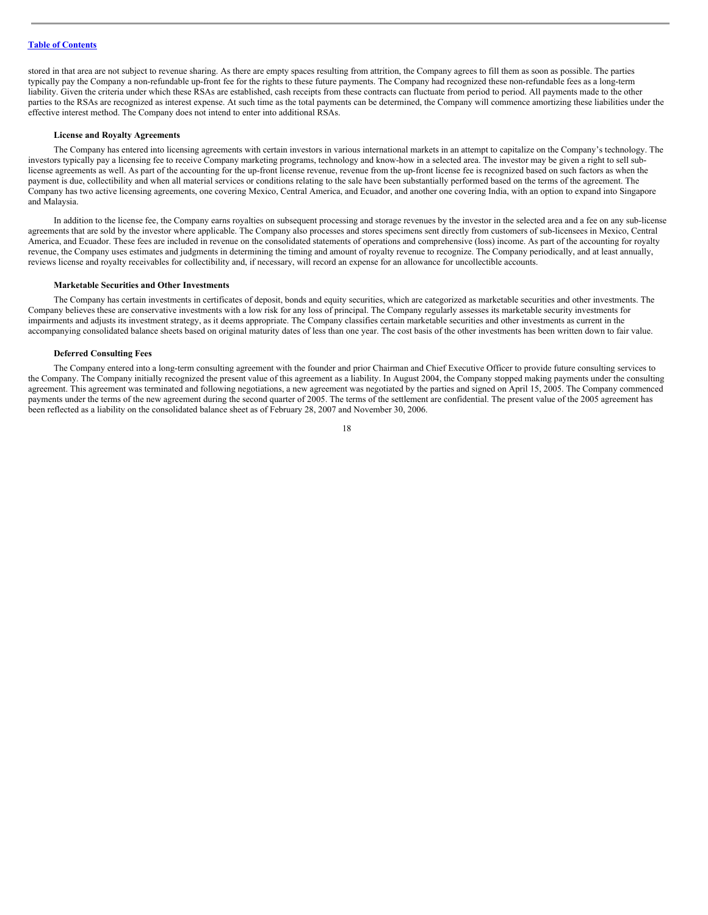stored in that area are not subject to revenue sharing. As there are empty spaces resulting from attrition, the Company agrees to fill them as soon as possible. The parties typically pay the Company a non-refundable up-front fee for the rights to these future payments. The Company had recognized these non-refundable fees as a long-term liability. Given the criteria under which these RSAs are established, cash receipts from these contracts can fluctuate from period to period. All payments made to the other parties to the RSAs are recognized as interest expense. At such time as the total payments can be determined, the Company will commence amortizing these liabilities under the effective interest method. The Company does not intend to enter into additional RSAs.

#### **License and Royalty Agreements**

The Company has entered into licensing agreements with certain investors in various international markets in an attempt to capitalize on the Company's technology. The investors typically pay a licensing fee to receive Company marketing programs, technology and know-how in a selected area. The investor may be given a right to sell sublicense agreements as well. As part of the accounting for the up-front license revenue, revenue from the up-front license fee is recognized based on such factors as when the payment is due, collectibility and when all material services or conditions relating to the sale have been substantially performed based on the terms of the agreement. The Company has two active licensing agreements, one covering Mexico, Central America, and Ecuador, and another one covering India, with an option to expand into Singapore and Malaysia.

In addition to the license fee, the Company earns royalties on subsequent processing and storage revenues by the investor in the selected area and a fee on any sub-license agreements that are sold by the investor where applicable. The Company also processes and stores specimens sent directly from customers of sub-licensees in Mexico, Central America, and Ecuador. These fees are included in revenue on the consolidated statements of operations and comprehensive (loss) income. As part of the accounting for royalty revenue, the Company uses estimates and judgments in determining the timing and amount of royalty revenue to recognize. The Company periodically, and at least annually, reviews license and royalty receivables for collectibility and, if necessary, will record an expense for an allowance for uncollectible accounts.

#### **Marketable Securities and Other Investments**

The Company has certain investments in certificates of deposit, bonds and equity securities, which are categorized as marketable securities and other investments. The Company believes these are conservative investments with a low risk for any loss of principal. The Company regularly assesses its marketable security investments for impairments and adjusts its investment strategy, as it deems appropriate. The Company classifies certain marketable securities and other investments as current in the accompanying consolidated balance sheets based on original maturity dates of less than one year. The cost basis of the other investments has been written down to fair value.

## **Deferred Consulting Fees**

The Company entered into a long-term consulting agreement with the founder and prior Chairman and Chief Executive Officer to provide future consulting services to the Company. The Company initially recognized the present value of this agreement as a liability. In August 2004, the Company stopped making payments under the consulting agreement. This agreement was terminated and following negotiations, a new agreement was negotiated by the parties and signed on April 15, 2005. The Company commenced payments under the terms of the new agreement during the second quarter of 2005. The terms of the settlement are confidential. The present value of the 2005 agreement has been reflected as a liability on the consolidated balance sheet as of February 28, 2007 and November 30, 2006.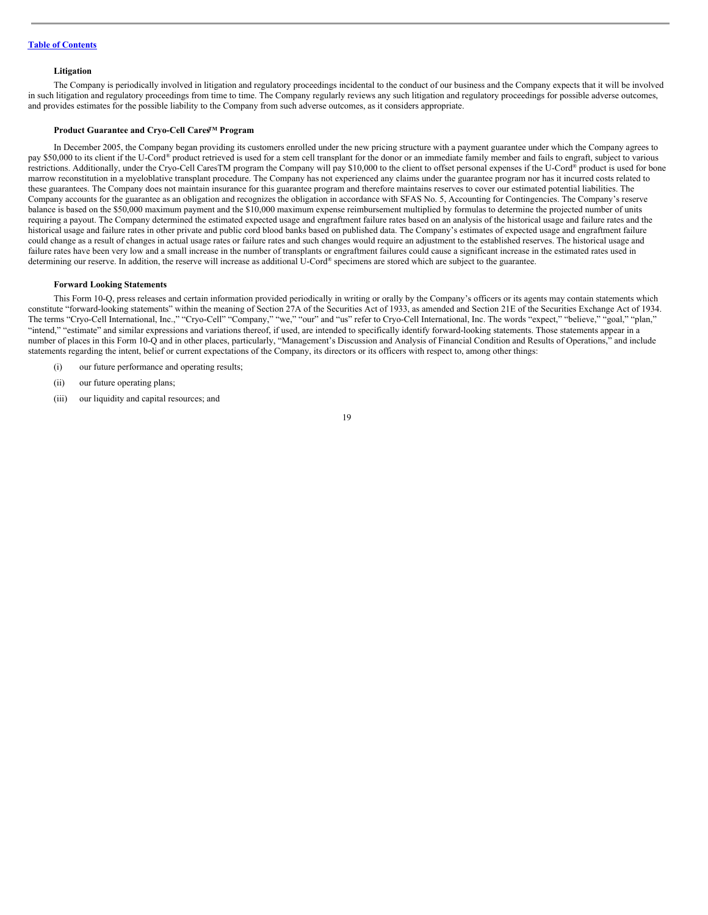#### **Litigation**

The Company is periodically involved in litigation and regulatory proceedings incidental to the conduct of our business and the Company expects that it will be involved in such litigation and regulatory proceedings from time to time. The Company regularly reviews any such litigation and regulatory proceedings for possible adverse outcomes, and provides estimates for the possible liability to the Company from such adverse outcomes, as it considers appropriate.

#### **Product Guarantee and Cryo-Cell CaresTM Program**

In December 2005, the Company began providing its customers enrolled under the new pricing structure with a payment guarantee under which the Company agrees to pay \$50,000 to its client if the U-Cord® product retrieved is used for a stem cell transplant for the donor or an immediate family member and fails to engraft, subject to various restrictions. Additionally, under the Cryo-Cell CaresTM program the Company will pay \$10,000 to the client to offset personal expenses if the U-Cord® product is used for bone marrow reconstitution in a myeloblative transplant procedure. The Company has not experienced any claims under the guarantee program nor has it incurred costs related to these guarantees. The Company does not maintain insurance for this guarantee program and therefore maintains reserves to cover our estimated potential liabilities. The Company accounts for the guarantee as an obligation and recognizes the obligation in accordance with SFAS No. 5, Accounting for Contingencies. The Company's reserve balance is based on the \$50,000 maximum payment and the \$10,000 maximum expense reimbursement multiplied by formulas to determine the projected number of units requiring a payout. The Company determined the estimated expected usage and engraftment failure rates based on an analysis of the historical usage and failure rates and the historical usage and failure rates in other private and public cord blood banks based on published data. The Company's estimates of expected usage and engraftment failure could change as a result of changes in actual usage rates or failure rates and such changes would require an adjustment to the established reserves. The historical usage and failure rates have been very low and a small increase in the number of transplants or engraftment failures could cause a significant increase in the estimated rates used in determining our reserve. In addition, the reserve will increase as additional U-Cord ® specimens are stored which are subject to the guarantee.

#### **Forward Looking Statements**

This Form 10-Q, press releases and certain information provided periodically in writing or orally by the Company's officers or its agents may contain statements which constitute "forward-looking statements" within the meaning of Section 27A of the Securities Act of 1933, as amended and Section 21E of the Securities Exchange Act of 1934. The terms "Cryo-Cell International, Inc.," "Cryo-Cell" "Company," "we," "our" and "us" refer to Cryo-Cell International, Inc. The words "expect," "believe," "goal," "plan," "intend," "estimate" and similar expressions and variations thereof, if used, are intended to specifically identify forward-looking statements. Those statements appear in a number of places in this Form 10-Q and in other places, particularly, "Management's Discussion and Analysis of Financial Condition and Results of Operations," and include statements regarding the intent, belief or current expectations of the Company, its directors or its officers with respect to, among other things:

- (i) our future performance and operating results;
- (ii) our future operating plans;
- (iii) our liquidity and capital resources; and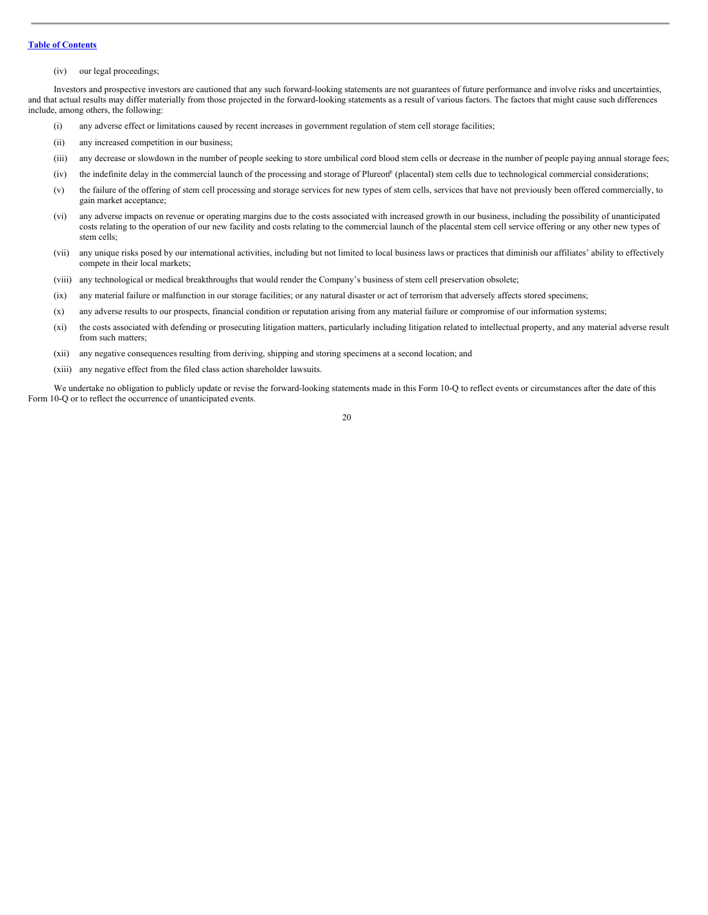(iv) our legal proceedings;

Investors and prospective investors are cautioned that any such forward-looking statements are not guarantees of future performance and involve risks and uncertainties, and that actual results may differ materially from those projected in the forward-looking statements as a result of various factors. The factors that might cause such differences include, among others, the following:

- (i) any adverse effect or limitations caused by recent increases in government regulation of stem cell storage facilities;
- (ii) any increased competition in our business;
- (iii) any decrease or slowdown in the number of people seeking to store umbilical cord blood stem cells or decrease in the number of people paying annual storage fees;
- (iv) the indefinite delay in the commercial launch of the processing and storage of Plureon ® (placental) stem cells due to technological commercial considerations;
- (v) the failure of the offering of stem cell processing and storage services for new types of stem cells, services that have not previously been offered commercially, to gain market acceptance;
- (vi) any adverse impacts on revenue or operating margins due to the costs associated with increased growth in our business, including the possibility of unanticipated costs relating to the operation of our new facility and costs relating to the commercial launch of the placental stem cell service offering or any other new types of stem cells;
- (vii) any unique risks posed by our international activities, including but not limited to local business laws or practices that diminish our affiliates' ability to effectively compete in their local markets;
- (viii) any technological or medical breakthroughs that would render the Company's business of stem cell preservation obsolete;
- (ix) any material failure or malfunction in our storage facilities; or any natural disaster or act of terrorism that adversely affects stored specimens;
- (x) any adverse results to our prospects, financial condition or reputation arising from any material failure or compromise of our information systems;
- (xi) the costs associated with defending or prosecuting litigation matters, particularly including litigation related to intellectual property, and any material adverse result from such matters;
- (xii) any negative consequences resulting from deriving, shipping and storing specimens at a second location; and
- (xiii) any negative effect from the filed class action shareholder lawsuits.

We undertake no obligation to publicly update or revise the forward-looking statements made in this Form 10-Q to reflect events or circumstances after the date of this Form 10-Q or to reflect the occurrence of unanticipated events.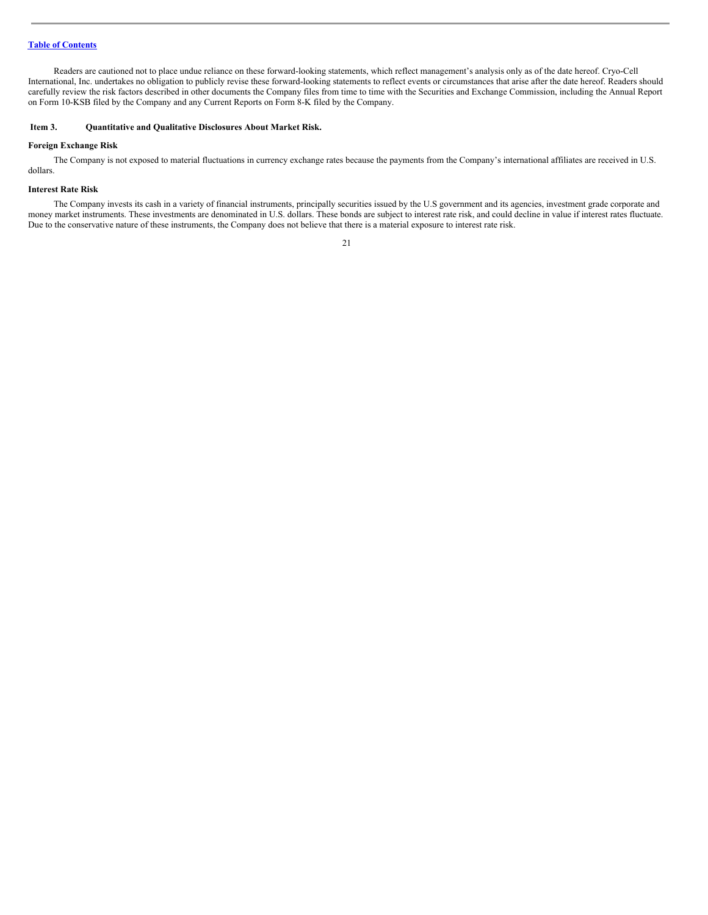Readers are cautioned not to place undue reliance on these forward-looking statements, which reflect management's analysis only as of the date hereof. Cryo-Cell International, Inc. undertakes no obligation to publicly revise these forward-looking statements to reflect events or circumstances that arise after the date hereof. Readers should carefully review the risk factors described in other documents the Company files from time to time with the Securities and Exchange Commission, including the Annual Report on Form 10-KSB filed by the Company and any Current Reports on Form 8-K filed by the Company.

## <span id="page-20-0"></span>**Item 3. Quantitative and Qualitative Disclosures About Market Risk.**

## **Foreign Exchange Risk**

The Company is not exposed to material fluctuations in currency exchange rates because the payments from the Company's international affiliates are received in U.S. dollars.

## **Interest Rate Risk**

The Company invests its cash in a variety of financial instruments, principally securities issued by the U.S government and its agencies, investment grade corporate and money market instruments. These investments are denominated in U.S. dollars. These bonds are subject to interest rate risk, and could decline in value if interest rates fluctuate. Due to the conservative nature of these instruments, the Company does not believe that there is a material exposure to interest rate risk.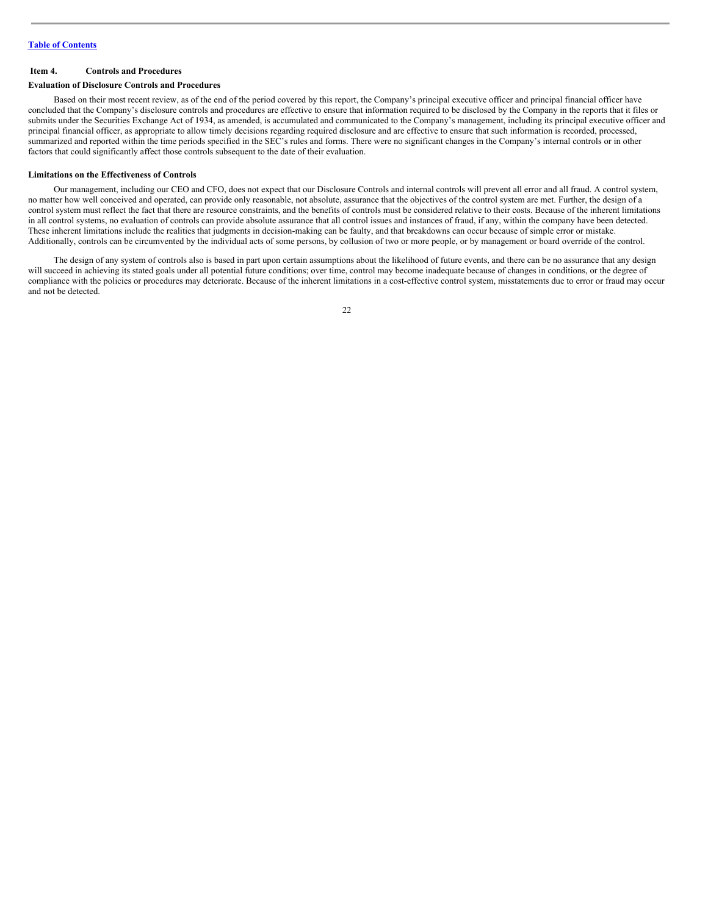#### <span id="page-21-0"></span>**Item 4. Controls and Procedures**

#### **Evaluation of Disclosure Controls and Procedures**

Based on their most recent review, as of the end of the period covered by this report, the Company's principal executive officer and principal financial officer have concluded that the Company's disclosure controls and procedures are effective to ensure that information required to be disclosed by the Company in the reports that it files or submits under the Securities Exchange Act of 1934, as amended, is accumulated and communicated to the Company's management, including its principal executive officer and principal financial officer, as appropriate to allow timely decisions regarding required disclosure and are effective to ensure that such information is recorded, processed, summarized and reported within the time periods specified in the SEC's rules and forms. There were no significant changes in the Company's internal controls or in other factors that could significantly affect those controls subsequent to the date of their evaluation.

#### **Limitations on the Effectiveness of Controls**

Our management, including our CEO and CFO, does not expect that our Disclosure Controls and internal controls will prevent all error and all fraud. A control system, no matter how well conceived and operated, can provide only reasonable, not absolute, assurance that the objectives of the control system are met. Further, the design of a control system must reflect the fact that there are resource constraints, and the benefits of controls must be considered relative to their costs. Because of the inherent limitations in all control systems, no evaluation of controls can provide absolute assurance that all control issues and instances of fraud, if any, within the company have been detected. These inherent limitations include the realities that judgments in decision-making can be faulty, and that breakdowns can occur because of simple error or mistake. Additionally, controls can be circumvented by the individual acts of some persons, by collusion of two or more people, or by management or board override of the control.

The design of any system of controls also is based in part upon certain assumptions about the likelihood of future events, and there can be no assurance that any design will succeed in achieving its stated goals under all potential future conditions; over time, control may become inadequate because of changes in conditions, or the degree of compliance with the policies or procedures may deteriorate. Because of the inherent limitations in a cost-effective control system, misstatements due to error or fraud may occur and not be detected.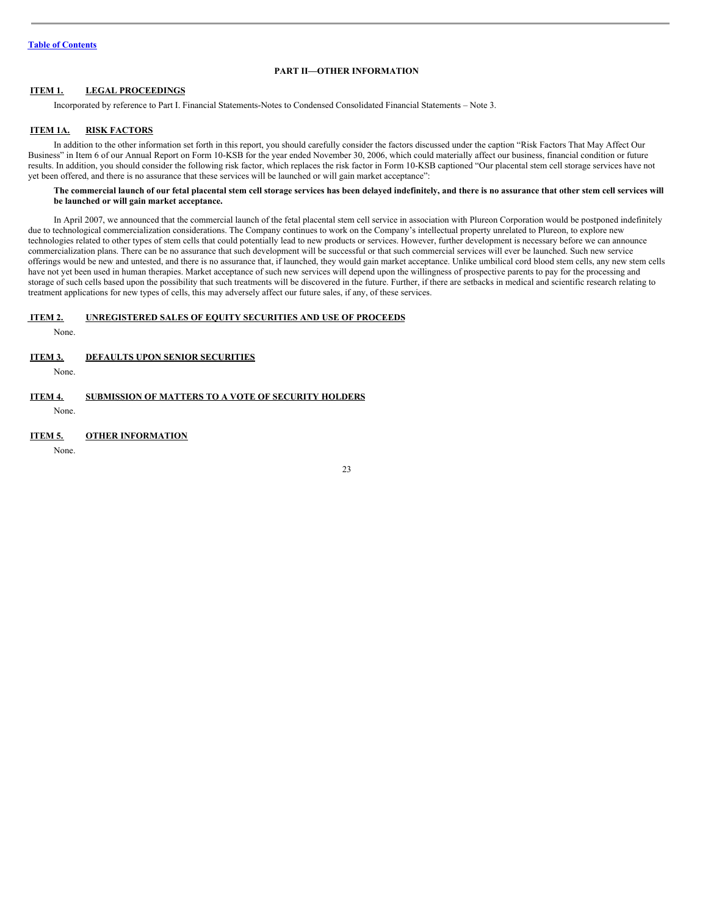## **PART II—OTHER INFORMATION**

## <span id="page-22-0"></span>**ITEM 1. LEGAL PROCEEDINGS**

Incorporated by reference to Part I. Financial Statements-Notes to Condensed Consolidated Financial Statements – Note 3.

## <span id="page-22-1"></span>**ITEM 1A. RISK FACTORS**

In addition to the other information set forth in this report, you should carefully consider the factors discussed under the caption "Risk Factors That May Affect Our Business" in Item 6 of our Annual Report on Form 10-KSB for the year ended November 30, 2006, which could materially affect our business, financial condition or future results. In addition, you should consider the following risk factor, which replaces the risk factor in Form 10-KSB captioned "Our placental stem cell storage services have not yet been offered, and there is no assurance that these services will be launched or will gain market acceptance":

#### The commercial launch of our fetal placental stem cell storage services has been delayed indefinitely, and there is no assurance that other stem cell services will **be launched or will gain market acceptance.**

In April 2007, we announced that the commercial launch of the fetal placental stem cell service in association with Plureon Corporation would be postponed indefinitely due to technological commercialization considerations. The Company continues to work on the Company's intellectual property unrelated to Plureon, to explore new technologies related to other types of stem cells that could potentially lead to new products or services. However, further development is necessary before we can announce commercialization plans. There can be no assurance that such development will be successful or that such commercial services will ever be launched. Such new service offerings would be new and untested, and there is no assurance that, if launched, they would gain market acceptance. Unlike umbilical cord blood stem cells, any new stem cells have not yet been used in human therapies. Market acceptance of such new services will depend upon the willingness of prospective parents to pay for the processing and storage of such cells based upon the possibility that such treatments will be discovered in the future. Further, if there are setbacks in medical and scientific research relating to treatment applications for new types of cells, this may adversely affect our future sales, if any, of these services.

## <span id="page-22-2"></span>**ITEM 2. UNREGISTERED SALES OF EQUITY SECURITIES AND USE OF PROCEEDS**

None.

## <span id="page-22-3"></span>**ITEM 3. DEFAULTS UPON SENIOR SECURITIES**

None.

## <span id="page-22-4"></span>**ITEM 4. SUBMISSION OF MATTERS TO A VOTE OF SECURITY HOLDERS**

None.

## <span id="page-22-5"></span>**ITEM 5. OTHER INFORMATION**

None.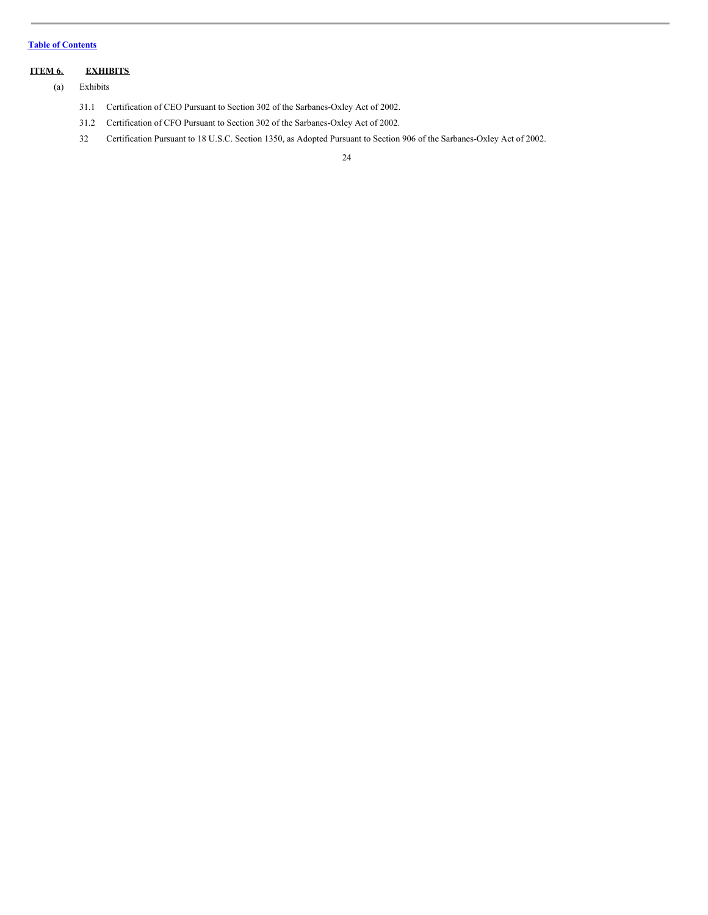## <span id="page-23-0"></span>**ITEM 6. EXHIBITS**

- (a) Exhibits
	- 31.1 Certification of CEO Pursuant to Section 302 of the Sarbanes-Oxley Act of 2002.
	- 31.2 Certification of CFO Pursuant to Section 302 of the Sarbanes-Oxley Act of 2002.
	- 32 Certification Pursuant to 18 U.S.C. Section 1350, as Adopted Pursuant to Section 906 of the Sarbanes-Oxley Act of 2002.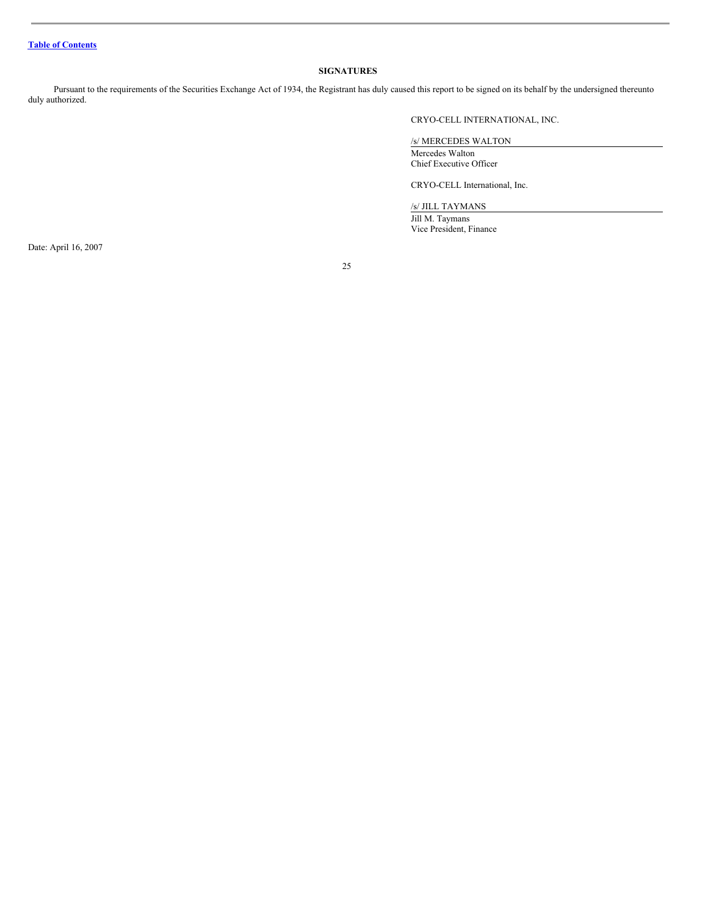## <span id="page-24-0"></span>**SIGNATURES**

Pursuant to the requirements of the Securities Exchange Act of 1934, the Registrant has duly caused this report to be signed on its behalf by the undersigned thereunto duly authorized.

CRYO-CELL INTERNATIONAL, INC.

/s/ MERCEDES WALTON

Mercedes Walton Chief Executive Officer

CRYO-CELL International, Inc.

/s/ JILL TAYMANS

Jill M. Taymans Vice President, Finance

Date: April 16, 2007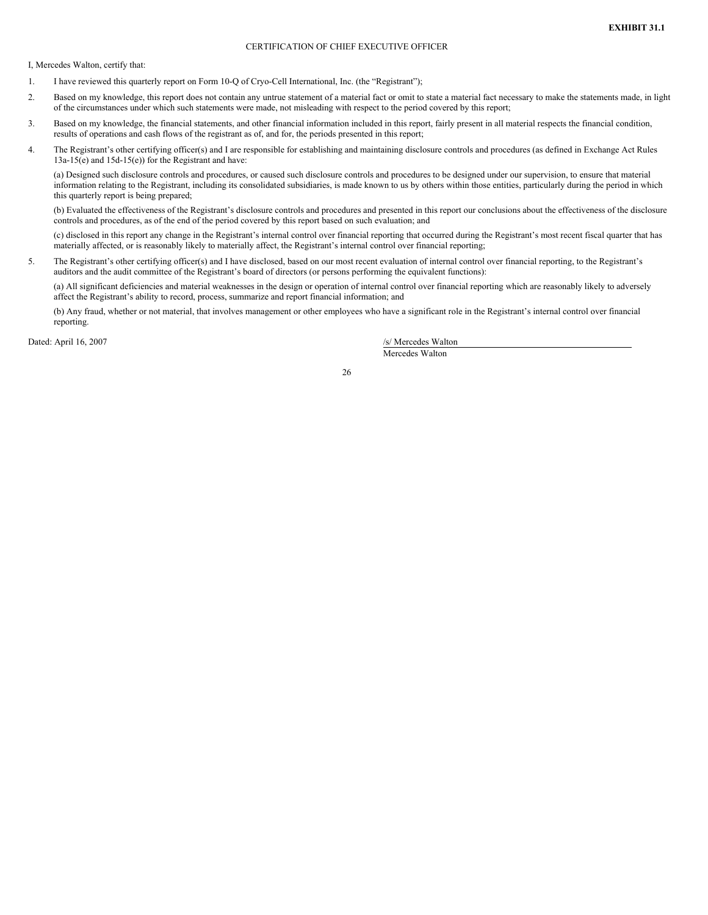## CERTIFICATION OF CHIEF EXECUTIVE OFFICER

I, Mercedes Walton, certify that:

- 1. I have reviewed this quarterly report on Form 10-Q of Cryo-Cell International, Inc. (the "Registrant");
- 2. Based on my knowledge, this report does not contain any untrue statement of a material fact or omit to state a material fact necessary to make the statements made, in light of the circumstances under which such statements were made, not misleading with respect to the period covered by this report;
- 3. Based on my knowledge, the financial statements, and other financial information included in this report, fairly present in all material respects the financial condition, results of operations and cash flows of the registrant as of, and for, the periods presented in this report;
- 4. The Registrant's other certifying officer(s) and I are responsible for establishing and maintaining disclosure controls and procedures (as defined in Exchange Act Rules 13a-15(e) and 15d-15(e)) for the Registrant and have:

(a) Designed such disclosure controls and procedures, or caused such disclosure controls and procedures to be designed under our supervision, to ensure that material information relating to the Registrant, including its consolidated subsidiaries, is made known to us by others within those entities, particularly during the period in which this quarterly report is being prepared;

(b) Evaluated the effectiveness of the Registrant's disclosure controls and procedures and presented in this report our conclusions about the effectiveness of the disclosure controls and procedures, as of the end of the period covered by this report based on such evaluation; and

(c) disclosed in this report any change in the Registrant's internal control over financial reporting that occurred during the Registrant's most recent fiscal quarter that has materially affected, or is reasonably likely to materially affect, the Registrant's internal control over financial reporting;

5. The Registrant's other certifying officer(s) and I have disclosed, based on our most recent evaluation of internal control over financial reporting, to the Registrant's auditors and the audit committee of the Registrant's board of directors (or persons performing the equivalent functions):

(a) All significant deficiencies and material weaknesses in the design or operation of internal control over financial reporting which are reasonably likely to adversely affect the Registrant's ability to record, process, summarize and report financial information; and

(b) Any fraud, whether or not material, that involves management or other employees who have a significant role in the Registrant's internal control over financial reporting.

Dated: April 16, 2007 /s/ Mercedes Walton

Mercedes Walton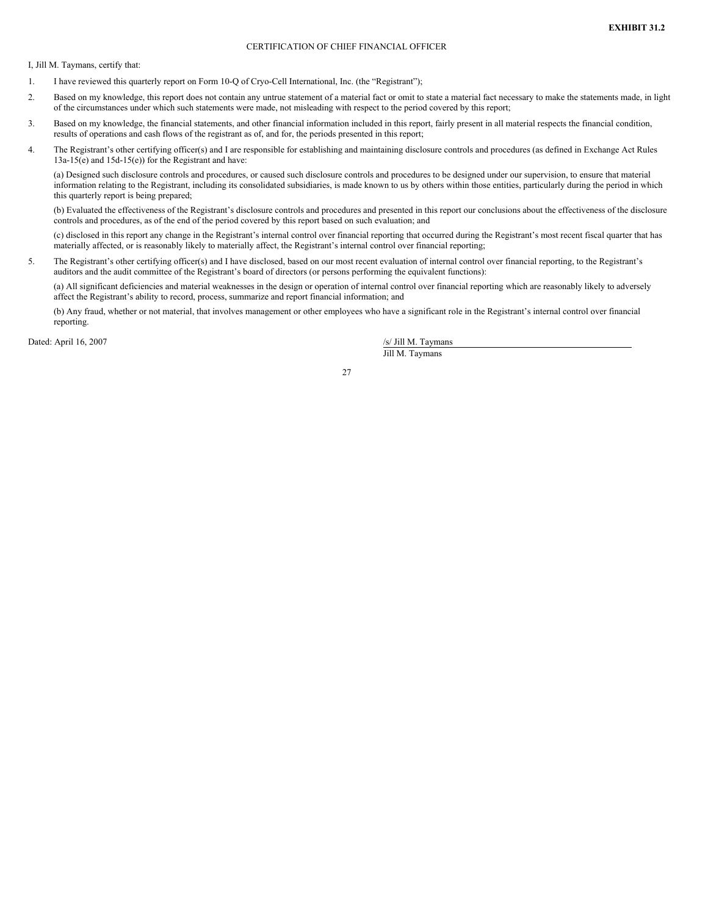## CERTIFICATION OF CHIEF FINANCIAL OFFICER

I, Jill M. Taymans, certify that:

- 1. I have reviewed this quarterly report on Form 10-Q of Cryo-Cell International, Inc. (the "Registrant");
- 2. Based on my knowledge, this report does not contain any untrue statement of a material fact or omit to state a material fact necessary to make the statements made, in light of the circumstances under which such statements were made, not misleading with respect to the period covered by this report;
- 3. Based on my knowledge, the financial statements, and other financial information included in this report, fairly present in all material respects the financial condition, results of operations and cash flows of the registrant as of, and for, the periods presented in this report;
- 4. The Registrant's other certifying officer(s) and I are responsible for establishing and maintaining disclosure controls and procedures (as defined in Exchange Act Rules 13a-15(e) and 15d-15(e)) for the Registrant and have:

(a) Designed such disclosure controls and procedures, or caused such disclosure controls and procedures to be designed under our supervision, to ensure that material information relating to the Registrant, including its consolidated subsidiaries, is made known to us by others within those entities, particularly during the period in which this quarterly report is being prepared;

(b) Evaluated the effectiveness of the Registrant's disclosure controls and procedures and presented in this report our conclusions about the effectiveness of the disclosure controls and procedures, as of the end of the period covered by this report based on such evaluation; and

(c) disclosed in this report any change in the Registrant's internal control over financial reporting that occurred during the Registrant's most recent fiscal quarter that has materially affected, or is reasonably likely to materially affect, the Registrant's internal control over financial reporting;

5. The Registrant's other certifying officer(s) and I have disclosed, based on our most recent evaluation of internal control over financial reporting, to the Registrant's auditors and the audit committee of the Registrant's board of directors (or persons performing the equivalent functions):

(a) All significant deficiencies and material weaknesses in the design or operation of internal control over financial reporting which are reasonably likely to adversely affect the Registrant's ability to record, process, summarize and report financial information; and

(b) Any fraud, whether or not material, that involves management or other employees who have a significant role in the Registrant's internal control over financial reporting.

Dated: April 16, 2007 /s/ Jill M. Taymans

Jill M. Taymans